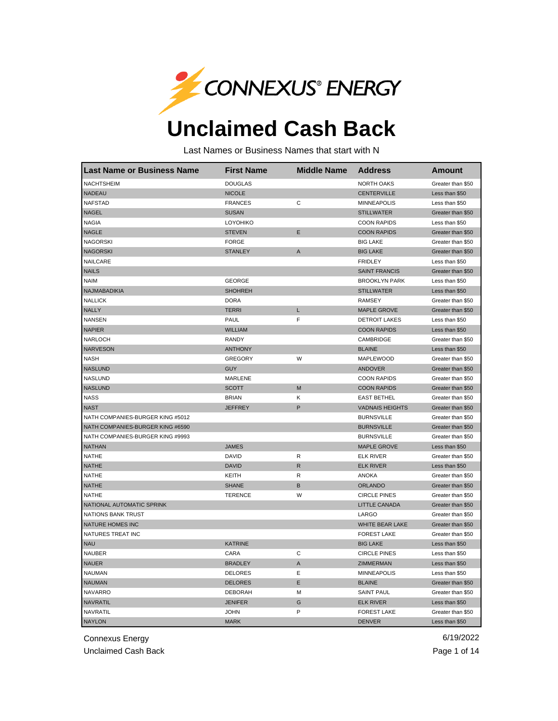

## **Unclaimed Cash Back**

Last Names or Business Names that start with N

| <b>Last Name or Business Name</b> | <b>First Name</b> | <b>Middle Name</b> | <b>Address</b>         | <b>Amount</b>     |
|-----------------------------------|-------------------|--------------------|------------------------|-------------------|
| <b>NACHTSHEIM</b>                 | <b>DOUGLAS</b>    |                    | <b>NORTH OAKS</b>      | Greater than \$50 |
| <b>NADEAU</b>                     | <b>NICOLE</b>     |                    | <b>CENTERVILLE</b>     | Less than \$50    |
| <b>NAFSTAD</b>                    | <b>FRANCES</b>    | C                  | <b>MINNEAPOLIS</b>     | Less than \$50    |
| <b>NAGEL</b>                      | <b>SUSAN</b>      |                    | <b>STILLWATER</b>      | Greater than \$50 |
| <b>NAGIA</b>                      | LOYOHIKO          |                    | <b>COON RAPIDS</b>     | Less than \$50    |
| <b>NAGLE</b>                      | <b>STEVEN</b>     | Ε                  | <b>COON RAPIDS</b>     | Greater than \$50 |
| <b>NAGORSKI</b>                   | <b>FORGE</b>      |                    | <b>BIG LAKE</b>        | Greater than \$50 |
| <b>NAGORSKI</b>                   | <b>STANLEY</b>    | A                  | <b>BIG LAKE</b>        | Greater than \$50 |
| NAILCARE                          |                   |                    | <b>FRIDLEY</b>         | Less than \$50    |
| <b>NAILS</b>                      |                   |                    | <b>SAINT FRANCIS</b>   | Greater than \$50 |
| <b>NAIM</b>                       | <b>GEORGE</b>     |                    | <b>BROOKLYN PARK</b>   | Less than \$50    |
| NAJMABADIKIA                      | <b>SHOHREH</b>    |                    | <b>STILLWATER</b>      | Less than \$50    |
| <b>NALLICK</b>                    | <b>DORA</b>       |                    | <b>RAMSEY</b>          | Greater than \$50 |
| <b>NALLY</b>                      | <b>TERRI</b>      | L                  | <b>MAPLE GROVE</b>     | Greater than \$50 |
| <b>NANSEN</b>                     | <b>PAUL</b>       | F                  | <b>DETROIT LAKES</b>   | Less than \$50    |
| <b>NAPIER</b>                     | <b>WILLIAM</b>    |                    | <b>COON RAPIDS</b>     | Less than \$50    |
| <b>NARLOCH</b>                    | <b>RANDY</b>      |                    | CAMBRIDGE              | Greater than \$50 |
| <b>NARVESON</b>                   | <b>ANTHONY</b>    |                    | <b>BLAINE</b>          | Less than \$50    |
| <b>NASH</b>                       | <b>GREGORY</b>    | W                  | <b>MAPLEWOOD</b>       | Greater than \$50 |
| <b>NASLUND</b>                    | <b>GUY</b>        |                    | <b>ANDOVER</b>         | Greater than \$50 |
| <b>NASLUND</b>                    | MARLENE           |                    | <b>COON RAPIDS</b>     | Greater than \$50 |
| <b>NASLUND</b>                    | <b>SCOTT</b>      | M                  | <b>COON RAPIDS</b>     | Greater than \$50 |
| <b>NASS</b>                       | <b>BRIAN</b>      | κ                  | <b>EAST BETHEL</b>     | Greater than \$50 |
| <b>NAST</b>                       | <b>JEFFREY</b>    | P                  | <b>VADNAIS HEIGHTS</b> | Greater than \$50 |
| NATH COMPANIES-BURGER KING #5012  |                   |                    | <b>BURNSVILLE</b>      | Greater than \$50 |
| NATH COMPANIES-BURGER KING #6590  |                   |                    | <b>BURNSVILLE</b>      | Greater than \$50 |
| NATH COMPANIES-BURGER KING #9993  |                   |                    | <b>BURNSVILLE</b>      | Greater than \$50 |
| <b>NATHAN</b>                     | <b>JAMES</b>      |                    | <b>MAPLE GROVE</b>     | Less than \$50    |
| <b>NATHE</b>                      | <b>DAVID</b>      | R                  | <b>ELK RIVER</b>       | Greater than \$50 |
| <b>NATHE</b>                      | <b>DAVID</b>      | $\mathsf{R}$       | <b>ELK RIVER</b>       | Less than \$50    |
| <b>NATHE</b>                      | KEITH             | R                  | <b>ANOKA</b>           | Greater than \$50 |
| <b>NATHE</b>                      | <b>SHANE</b>      | B                  | <b>ORLANDO</b>         | Greater than \$50 |
| <b>NATHE</b>                      | <b>TERENCE</b>    | W                  | <b>CIRCLE PINES</b>    | Greater than \$50 |
| NATIONAL AUTOMATIC SPRINK         |                   |                    | <b>LITTLE CANADA</b>   | Greater than \$50 |
| <b>NATIONS BANK TRUST</b>         |                   |                    | LARGO                  | Greater than \$50 |
| NATURE HOMES INC                  |                   |                    | WHITE BEAR LAKE        | Greater than \$50 |
| NATURES TREAT INC                 |                   |                    | <b>FOREST LAKE</b>     | Greater than \$50 |
| <b>NAU</b>                        | <b>KATRINE</b>    |                    | <b>BIG LAKE</b>        | Less than \$50    |
| <b>NAUBER</b>                     | CARA              | C                  | <b>CIRCLE PINES</b>    | Less than \$50    |
| <b>NAUER</b>                      | <b>BRADLEY</b>    | A                  | <b>ZIMMERMAN</b>       | Less than \$50    |
| <b>NAUMAN</b>                     | <b>DELORES</b>    | Ε                  | <b>MINNEAPOLIS</b>     | Less than \$50    |
| <b>NAUMAN</b>                     | <b>DELORES</b>    | E                  | <b>BLAINE</b>          | Greater than \$50 |
| <b>NAVARRO</b>                    | <b>DEBORAH</b>    | м                  | <b>SAINT PAUL</b>      | Greater than \$50 |
| <b>NAVRATIL</b>                   | <b>JENIFER</b>    | G                  | <b>ELK RIVER</b>       | Less than \$50    |
| NAVRATIL                          | <b>JOHN</b>       | P                  | <b>FOREST LAKE</b>     | Greater than \$50 |
| <b>NAYLON</b>                     | <b>MARK</b>       |                    | <b>DENVER</b>          | Less than \$50    |

Connexus Energy 6/19/2022

Unclaimed Cash Back **Page 1 of 14**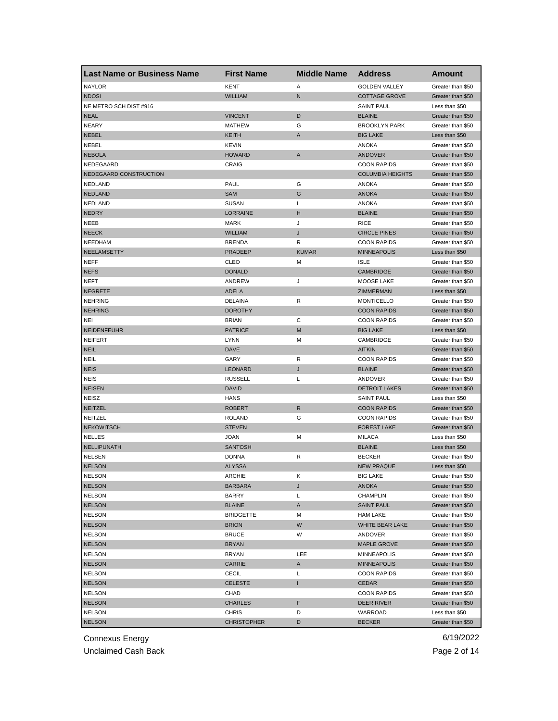| <b>Last Name or Business Name</b> | <b>First Name</b>  | <b>Middle Name</b> | <b>Address</b>          | Amount            |
|-----------------------------------|--------------------|--------------------|-------------------------|-------------------|
| <b>NAYLOR</b>                     | <b>KENT</b>        | Α                  | <b>GOLDEN VALLEY</b>    | Greater than \$50 |
| <b>NDOSI</b>                      | <b>WILLIAM</b>     | $\mathsf{N}$       | <b>COTTAGE GROVE</b>    | Greater than \$50 |
| NE METRO SCH DIST #916            |                    |                    | <b>SAINT PAUL</b>       | Less than \$50    |
| <b>NEAL</b>                       | <b>VINCENT</b>     | D                  | <b>BLAINE</b>           | Greater than \$50 |
| <b>NEARY</b>                      | <b>MATHEW</b>      | G                  | <b>BROOKLYN PARK</b>    | Greater than \$50 |
| <b>NEBEL</b>                      | <b>KEITH</b>       | A                  | <b>BIG LAKE</b>         | Less than \$50    |
| NEBEL                             | <b>KEVIN</b>       |                    | <b>ANOKA</b>            | Greater than \$50 |
| <b>NEBOLA</b>                     | <b>HOWARD</b>      | A                  | <b>ANDOVER</b>          | Greater than \$50 |
| NEDEGAARD                         | CRAIG              |                    | <b>COON RAPIDS</b>      | Greater than \$50 |
| NEDEGAARD CONSTRUCTION            |                    |                    | <b>COLUMBIA HEIGHTS</b> | Greater than \$50 |
| NEDLAND                           | <b>PAUL</b>        | G                  | ANOKA                   | Greater than \$50 |
| <b>NEDLAND</b>                    | <b>SAM</b>         | G                  | <b>ANOKA</b>            | Greater than \$50 |
| <b>NEDLAND</b>                    | <b>SUSAN</b>       | $\mathbf{I}$       | <b>ANOKA</b>            | Greater than \$50 |
| <b>NEDRY</b>                      | LORRAINE           | н                  | <b>BLAINE</b>           | Greater than \$50 |
| <b>NEEB</b>                       | <b>MARK</b>        | J                  | <b>RICE</b>             | Greater than \$50 |
| <b>NEECK</b>                      | <b>WILLIAM</b>     | J                  | <b>CIRCLE PINES</b>     | Greater than \$50 |
| <b>NEEDHAM</b>                    | <b>BRENDA</b>      | R                  | <b>COON RAPIDS</b>      | Greater than \$50 |
| NEELAMSETTY                       | <b>PRADEEP</b>     | <b>KUMAR</b>       | <b>MINNEAPOLIS</b>      | Less than \$50    |
| <b>NEFF</b>                       | CLEO               | М                  | <b>ISLE</b>             | Greater than \$50 |
| <b>NEFS</b>                       | <b>DONALD</b>      |                    | <b>CAMBRIDGE</b>        | Greater than \$50 |
| <b>NEFT</b>                       | ANDREW             | J                  | MOOSE LAKE              | Greater than \$50 |
| <b>NEGRETE</b>                    | <b>ADELA</b>       |                    | ZIMMERMAN               | Less than \$50    |
| <b>NEHRING</b>                    | DELAINA            | R                  | <b>MONTICELLO</b>       | Greater than \$50 |
| <b>NEHRING</b>                    | <b>DOROTHY</b>     |                    | <b>COON RAPIDS</b>      | Greater than \$50 |
| NEI                               | <b>BRIAN</b>       | С                  | <b>COON RAPIDS</b>      | Greater than \$50 |
| <b>NEIDENFEUHR</b>                | <b>PATRICE</b>     | M                  | <b>BIG LAKE</b>         | Less than \$50    |
| <b>NEIFERT</b>                    | LYNN               | М                  | CAMBRIDGE               | Greater than \$50 |
| <b>NEIL</b>                       | <b>DAVE</b>        |                    | <b>AITKIN</b>           | Greater than \$50 |
| <b>NEIL</b>                       | GARY               | R                  | <b>COON RAPIDS</b>      | Greater than \$50 |
| <b>NEIS</b>                       | <b>LEONARD</b>     | J                  | <b>BLAINE</b>           | Greater than \$50 |
| <b>NEIS</b>                       | <b>RUSSELL</b>     | L                  | ANDOVER                 | Greater than \$50 |
| <b>NEISEN</b>                     | <b>DAVID</b>       |                    | <b>DETROIT LAKES</b>    | Greater than \$50 |
| <b>NEISZ</b>                      | <b>HANS</b>        |                    | <b>SAINT PAUL</b>       | Less than \$50    |
| <b>NEITZEL</b>                    | <b>ROBERT</b>      | ${\sf R}$          | <b>COON RAPIDS</b>      | Greater than \$50 |
| NEITZEL                           | <b>ROLAND</b>      | G                  | <b>COON RAPIDS</b>      | Greater than \$50 |
| <b>NEKOWITSCH</b>                 | <b>STEVEN</b>      |                    | <b>FOREST LAKE</b>      | Greater than \$50 |
| <b>NELLES</b>                     | <b>JOAN</b>        | М                  | <b>MILACA</b>           | Less than \$50    |
| NELLIPUNATH                       | <b>SANTOSH</b>     |                    | <b>BLAINE</b>           | Less than \$50    |
| <b>NELSEN</b>                     | <b>DONNA</b>       | R                  | <b>BECKER</b>           | Greater than \$50 |
| <b>NELSON</b>                     | <b>ALYSSA</b>      |                    | <b>NEW PRAQUE</b>       | Less than \$50    |
| <b>NELSON</b>                     | <b>ARCHIE</b>      | Κ                  | <b>BIG LAKE</b>         | Greater than \$50 |
| <b>NELSON</b>                     | <b>BARBARA</b>     | J                  | ANOKA                   | Greater than \$50 |
| <b>NELSON</b>                     | <b>BARRY</b>       | Г                  | <b>CHAMPLIN</b>         | Greater than \$50 |
| <b>NELSON</b>                     | <b>BLAINE</b>      | A                  | <b>SAINT PAUL</b>       | Greater than \$50 |
| <b>NELSON</b>                     | <b>BRIDGETTE</b>   | М                  | <b>HAM LAKE</b>         | Greater than \$50 |
| <b>NELSON</b>                     | <b>BRION</b>       | W                  | WHITE BEAR LAKE         | Greater than \$50 |
| <b>NELSON</b>                     | <b>BRUCE</b>       | W                  | ANDOVER                 | Greater than \$50 |
| <b>NELSON</b>                     | <b>BRYAN</b>       |                    | <b>MAPLE GROVE</b>      | Greater than \$50 |
| <b>NELSON</b>                     | <b>BRYAN</b>       | LEE                | MINNEAPOLIS             | Greater than \$50 |
| <b>NELSON</b>                     | <b>CARRIE</b>      | A                  | <b>MINNEAPOLIS</b>      | Greater than \$50 |
| <b>NELSON</b>                     | <b>CECIL</b>       | L                  | <b>COON RAPIDS</b>      | Greater than \$50 |
| <b>NELSON</b>                     | <b>CELESTE</b>     | I                  | CEDAR                   | Greater than \$50 |
| <b>NELSON</b>                     | CHAD               |                    | <b>COON RAPIDS</b>      | Greater than \$50 |
| <b>NELSON</b>                     | CHARLES            | F                  | <b>DEER RIVER</b>       | Greater than \$50 |
| <b>NELSON</b>                     | <b>CHRIS</b>       | D                  | WARROAD                 | Less than \$50    |
| <b>NELSON</b>                     | <b>CHRISTOPHER</b> | D                  | <b>BECKER</b>           | Greater than \$50 |

Unclaimed Cash Back **Page 2 of 14**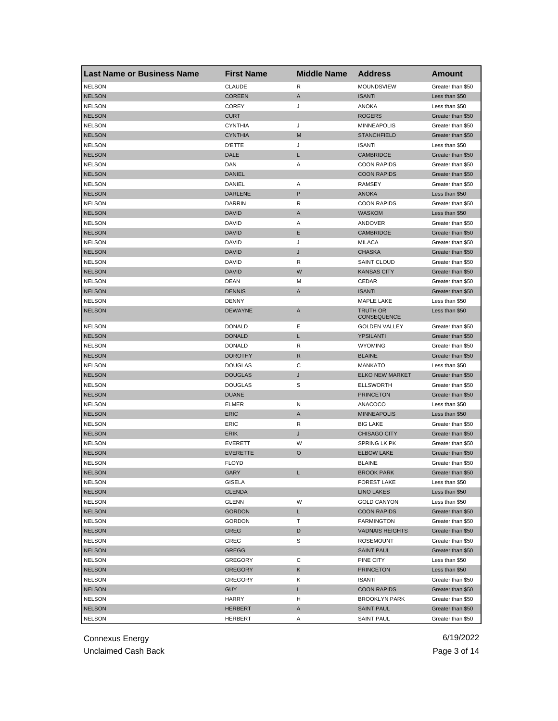| <b>Last Name or Business Name</b> | <b>First Name</b> | <b>Middle Name</b> | <b>Address</b>          | Amount            |
|-----------------------------------|-------------------|--------------------|-------------------------|-------------------|
| <b>NELSON</b>                     | <b>CLAUDE</b>     | R                  | MOUNDSVIEW              | Greater than \$50 |
| <b>NELSON</b>                     | <b>COREEN</b>     | A                  | <b>ISANTI</b>           | Less than \$50    |
| <b>NELSON</b>                     | <b>COREY</b>      | J                  | <b>ANOKA</b>            | Less than \$50    |
| <b>NELSON</b>                     | <b>CURT</b>       |                    | <b>ROGERS</b>           | Greater than \$50 |
| <b>NELSON</b>                     | <b>CYNTHIA</b>    | J                  | <b>MINNEAPOLIS</b>      | Greater than \$50 |
| <b>NELSON</b>                     | <b>CYNTHIA</b>    | M                  | <b>STANCHFIELD</b>      | Greater than \$50 |
| <b>NELSON</b>                     | <b>D'ETTE</b>     | J                  | <b>ISANTI</b>           | Less than \$50    |
| <b>NELSON</b>                     | DALE              | L                  | <b>CAMBRIDGE</b>        | Greater than \$50 |
| <b>NELSON</b>                     | DAN               | Α                  | <b>COON RAPIDS</b>      | Greater than \$50 |
| <b>NELSON</b>                     | <b>DANIEL</b>     |                    | <b>COON RAPIDS</b>      | Greater than \$50 |
| <b>NELSON</b>                     | DANIEL            | Α                  | RAMSEY                  | Greater than \$50 |
| <b>NELSON</b>                     | <b>DARLENE</b>    | P                  | <b>ANOKA</b>            | Less than \$50    |
| <b>NELSON</b>                     | <b>DARRIN</b>     | R                  | <b>COON RAPIDS</b>      | Greater than \$50 |
| <b>NELSON</b>                     | <b>DAVID</b>      | A                  | <b>WASKOM</b>           | Less than \$50    |
| <b>NELSON</b>                     | <b>DAVID</b>      | Α                  | ANDOVER                 | Greater than \$50 |
| <b>NELSON</b>                     | <b>DAVID</b>      | Ε                  | <b>CAMBRIDGE</b>        | Greater than \$50 |
| <b>NELSON</b>                     | <b>DAVID</b>      | J                  | MILACA                  | Greater than \$50 |
| <b>NELSON</b>                     | <b>DAVID</b>      | J                  | <b>CHASKA</b>           | Greater than \$50 |
| <b>NELSON</b>                     | DAVID             | R                  | <b>SAINT CLOUD</b>      | Greater than \$50 |
| <b>NELSON</b>                     | <b>DAVID</b>      | W                  | <b>KANSAS CITY</b>      | Greater than \$50 |
| <b>NELSON</b>                     | <b>DEAN</b>       | м                  | CEDAR                   | Greater than \$50 |
| <b>NELSON</b>                     | <b>DENNIS</b>     | A                  | <b>ISANTI</b>           | Greater than \$50 |
| <b>NELSON</b>                     | <b>DENNY</b>      |                    | <b>MAPLE LAKE</b>       | Less than \$50    |
| <b>NELSON</b>                     | <b>DEWAYNE</b>    | A                  | TRUTH OR<br>CONSEQUENCE | Less than \$50    |
| <b>NELSON</b>                     | <b>DONALD</b>     | Ε                  | <b>GOLDEN VALLEY</b>    | Greater than \$50 |
| <b>NELSON</b>                     | <b>DONALD</b>     | Г                  | YPSILANTI               | Greater than \$50 |
| <b>NELSON</b>                     | <b>DONALD</b>     | R                  | <b>WYOMING</b>          | Greater than \$50 |
| <b>NELSON</b>                     | <b>DOROTHY</b>    | $\mathsf R$        | <b>BLAINE</b>           | Greater than \$50 |
| <b>NELSON</b>                     | <b>DOUGLAS</b>    | С                  | <b>MANKATO</b>          | Less than \$50    |
| <b>NELSON</b>                     | <b>DOUGLAS</b>    | J                  | <b>ELKO NEW MARKET</b>  | Greater than \$50 |
| <b>NELSON</b>                     | <b>DOUGLAS</b>    | S                  | <b>ELLSWORTH</b>        | Greater than \$50 |
| <b>NELSON</b>                     | <b>DUANE</b>      |                    | <b>PRINCETON</b>        | Greater than \$50 |
| <b>NELSON</b>                     | <b>ELMER</b>      | N                  | <b>ANACOCO</b>          | Less than \$50    |
| <b>NELSON</b>                     | <b>ERIC</b>       | A                  | <b>MINNEAPOLIS</b>      | Less than \$50    |
| <b>NELSON</b>                     | ERIC              | R                  | <b>BIG LAKE</b>         | Greater than \$50 |
| <b>NELSON</b>                     | <b>ERIK</b>       | J                  | <b>CHISAGO CITY</b>     | Greater than \$50 |
| <b>NELSON</b>                     | <b>EVERETT</b>    | W                  | SPRING LK PK            | Greater than \$50 |
| <b>NELSON</b>                     | <b>EVERETTE</b>   | O                  | <b>ELBOW LAKE</b>       | Greater than \$50 |
| <b>NELSON</b>                     | <b>FLOYD</b>      |                    | <b>BLAINE</b>           | Greater than \$50 |
| <b>NELSON</b>                     | GARY              |                    | <b>BROOK PARK</b>       | Greater than \$50 |
| <b>NELSON</b>                     | GISELA            |                    | <b>FOREST LAKE</b>      | Less than \$50    |
| <b>NELSON</b>                     | <b>GLENDA</b>     |                    | <b>LINO LAKES</b>       | Less than \$50    |
| <b>NELSON</b>                     | <b>GLENN</b>      | W                  | <b>GOLD CANYON</b>      | Less than \$50    |
| <b>NELSON</b>                     | <b>GORDON</b>     | L.                 | <b>COON RAPIDS</b>      | Greater than \$50 |
| <b>NELSON</b>                     | <b>GORDON</b>     | т                  | <b>FARMINGTON</b>       | Greater than \$50 |
| <b>NELSON</b>                     | <b>GREG</b>       | D                  | <b>VADNAIS HEIGHTS</b>  | Greater than \$50 |
| <b>NELSON</b>                     | GREG              | S                  | <b>ROSEMOUNT</b>        | Greater than \$50 |
| <b>NELSON</b>                     | <b>GREGG</b>      |                    | <b>SAINT PAUL</b>       | Greater than \$50 |
| <b>NELSON</b>                     | <b>GREGORY</b>    | С                  | PINE CITY               | Less than \$50    |
| <b>NELSON</b>                     | <b>GREGORY</b>    | Κ                  | <b>PRINCETON</b>        | Less than \$50    |
| <b>NELSON</b>                     | GREGORY           | Κ                  | ISANTI                  | Greater than \$50 |
| <b>NELSON</b>                     | <b>GUY</b>        | L                  | <b>COON RAPIDS</b>      | Greater than \$50 |
| <b>NELSON</b>                     | <b>HARRY</b>      | н                  | <b>BROOKLYN PARK</b>    | Greater than \$50 |
| <b>NELSON</b>                     | <b>HERBERT</b>    | Α                  | <b>SAINT PAUL</b>       | Greater than \$50 |
| <b>NELSON</b>                     | HERBERT           | Α                  | SAINT PAUL              | Greater than \$50 |

Connexus Energy 6/19/2022 Unclaimed Cash Back **Page 3 of 14**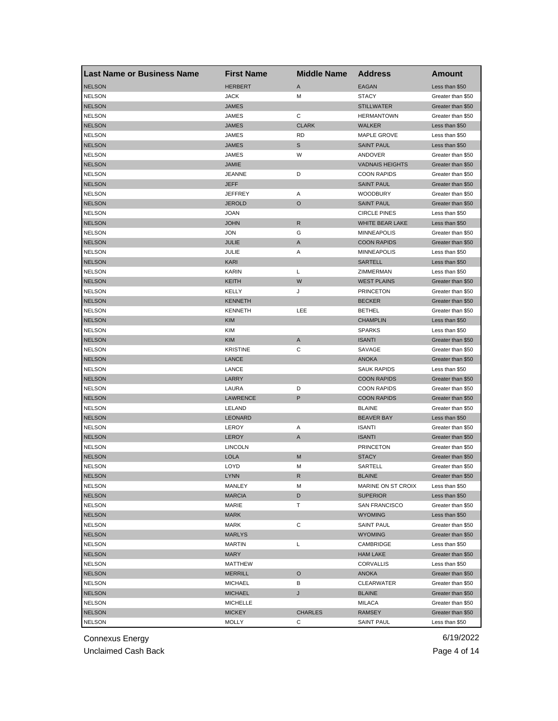| <b>Last Name or Business Name</b> | <b>First Name</b> | <b>Middle Name</b> | <b>Address</b>         | Amount            |
|-----------------------------------|-------------------|--------------------|------------------------|-------------------|
| <b>NELSON</b>                     | <b>HERBERT</b>    | A                  | <b>EAGAN</b>           | Less than \$50    |
| <b>NELSON</b>                     | <b>JACK</b>       | M                  | <b>STACY</b>           | Greater than \$50 |
| <b>NELSON</b>                     | <b>JAMES</b>      |                    | <b>STILLWATER</b>      | Greater than \$50 |
| <b>NELSON</b>                     | JAMES             | С                  | <b>HERMANTOWN</b>      | Greater than \$50 |
| <b>NELSON</b>                     | <b>JAMES</b>      | <b>CLARK</b>       | <b>WALKER</b>          | Less than \$50    |
| <b>NELSON</b>                     | JAMES             | <b>RD</b>          | MAPLE GROVE            | Less than \$50    |
| <b>NELSON</b>                     | <b>JAMES</b>      | S                  | <b>SAINT PAUL</b>      | Less than \$50    |
| <b>NELSON</b>                     | JAMES             | W                  | ANDOVER                | Greater than \$50 |
| <b>NELSON</b>                     | <b>JAMIE</b>      |                    | <b>VADNAIS HEIGHTS</b> | Greater than \$50 |
| <b>NELSON</b>                     | <b>JEANNE</b>     | D                  | <b>COON RAPIDS</b>     | Greater than \$50 |
| <b>NELSON</b>                     | <b>JEFF</b>       |                    | <b>SAINT PAUL</b>      | Greater than \$50 |
| <b>NELSON</b>                     | <b>JEFFREY</b>    | Α                  | <b>WOODBURY</b>        | Greater than \$50 |
| <b>NELSON</b>                     | <b>JEROLD</b>     | $\circ$            | <b>SAINT PAUL</b>      | Greater than \$50 |
| <b>NELSON</b>                     | <b>JOAN</b>       |                    | <b>CIRCLE PINES</b>    | Less than \$50    |
| <b>NELSON</b>                     | <b>JOHN</b>       | R                  | WHITE BEAR LAKE        | Less than \$50    |
| <b>NELSON</b>                     | <b>JON</b>        | G                  | <b>MINNEAPOLIS</b>     | Greater than \$50 |
| <b>NELSON</b>                     | JULIE             | A                  | <b>COON RAPIDS</b>     | Greater than \$50 |
| <b>NELSON</b>                     | JULIE             | Α                  | <b>MINNEAPOLIS</b>     | Less than \$50    |
| <b>NELSON</b>                     | <b>KARI</b>       |                    | <b>SARTELL</b>         | Less than \$50    |
| <b>NELSON</b>                     | <b>KARIN</b>      | L                  | ZIMMERMAN              | Less than \$50    |
| <b>NELSON</b>                     | <b>KEITH</b>      | W                  | <b>WEST PLAINS</b>     | Greater than \$50 |
| <b>NELSON</b>                     | KELLY             | J                  | <b>PRINCETON</b>       | Greater than \$50 |
| <b>NELSON</b>                     | <b>KENNETH</b>    |                    | <b>BECKER</b>          | Greater than \$50 |
| <b>NELSON</b>                     | <b>KENNETH</b>    | LEE                | <b>BETHEL</b>          | Greater than \$50 |
| <b>NELSON</b>                     | <b>KIM</b>        |                    | <b>CHAMPLIN</b>        | Less than \$50    |
| <b>NELSON</b>                     | <b>KIM</b>        |                    | <b>SPARKS</b>          | Less than \$50    |
| <b>NELSON</b>                     | <b>KIM</b>        | A                  | <b>ISANTI</b>          | Greater than \$50 |
| <b>NELSON</b>                     | <b>KRISTINE</b>   | C                  | SAVAGE                 | Greater than \$50 |
| <b>NELSON</b>                     | LANCE             |                    | ANOKA                  | Greater than \$50 |
| <b>NELSON</b>                     | LANCE             |                    | <b>SAUK RAPIDS</b>     | Less than \$50    |
| <b>NELSON</b>                     | LARRY             |                    | <b>COON RAPIDS</b>     | Greater than \$50 |
| <b>NELSON</b>                     | LAURA             | D                  | <b>COON RAPIDS</b>     | Greater than \$50 |
| <b>NELSON</b>                     | <b>LAWRENCE</b>   | P                  | <b>COON RAPIDS</b>     | Greater than \$50 |
| <b>NELSON</b>                     | LELAND            |                    | <b>BLAINE</b>          | Greater than \$50 |
| <b>NELSON</b>                     | LEONARD           |                    | <b>BEAVER BAY</b>      | Less than \$50    |
| <b>NELSON</b>                     | LEROY             | Α                  | <b>ISANTI</b>          | Greater than \$50 |
| <b>NELSON</b>                     | <b>LEROY</b>      | A                  | <b>ISANTI</b>          | Greater than \$50 |
| <b>NELSON</b>                     | <b>LINCOLN</b>    |                    | <b>PRINCETON</b>       | Greater than \$50 |
| <b>NELSON</b>                     | <b>LOLA</b>       | M                  | <b>STACY</b>           | Greater than \$50 |
| <b>NELSON</b>                     | LOYD              | M                  | SARTELL                | Greater than \$50 |
| <b>NELSON</b>                     | LYNN              | ĸ,                 | <b>BLAINE</b>          | Greater than \$50 |
| <b>NELSON</b>                     | MANLEY            | M                  | MARINE ON ST CROIX     | Less than \$50    |
| <b>NELSON</b>                     | <b>MARCIA</b>     | D                  | <b>SUPERIOR</b>        | Less than \$50    |
| <b>NELSON</b>                     | MARIE             | т                  | <b>SAN FRANCISCO</b>   | Greater than \$50 |
| <b>NELSON</b>                     | <b>MARK</b>       |                    | <b>WYOMING</b>         | Less than \$50    |
| <b>NELSON</b>                     | MARK              | С                  | <b>SAINT PAUL</b>      | Greater than \$50 |
| <b>NELSON</b>                     | <b>MARLYS</b>     |                    | <b>WYOMING</b>         | Greater than \$50 |
| <b>NELSON</b>                     | MARTIN            | L                  | CAMBRIDGE              | Less than \$50    |
| <b>NELSON</b>                     | MARY              |                    | <b>HAM LAKE</b>        | Greater than \$50 |
| <b>NELSON</b>                     | MATTHEW           |                    | <b>CORVALLIS</b>       | Less than \$50    |
| <b>NELSON</b>                     | <b>MERRILL</b>    | O                  | ANOKA                  | Greater than \$50 |
| <b>NELSON</b>                     | <b>MICHAEL</b>    | В                  | <b>CLEARWATER</b>      | Greater than \$50 |
| <b>NELSON</b>                     | <b>MICHAEL</b>    | J                  | <b>BLAINE</b>          | Greater than \$50 |
| <b>NELSON</b>                     | <b>MICHELLE</b>   |                    | MILACA                 | Greater than \$50 |
| <b>NELSON</b>                     | <b>MICKEY</b>     | <b>CHARLES</b>     | <b>RAMSEY</b>          | Greater than \$50 |
| <b>NELSON</b>                     | MOLLY             | С                  | <b>SAINT PAUL</b>      | Less than \$50    |
|                                   |                   |                    |                        |                   |

Unclaimed Cash Back **Page 4 of 14**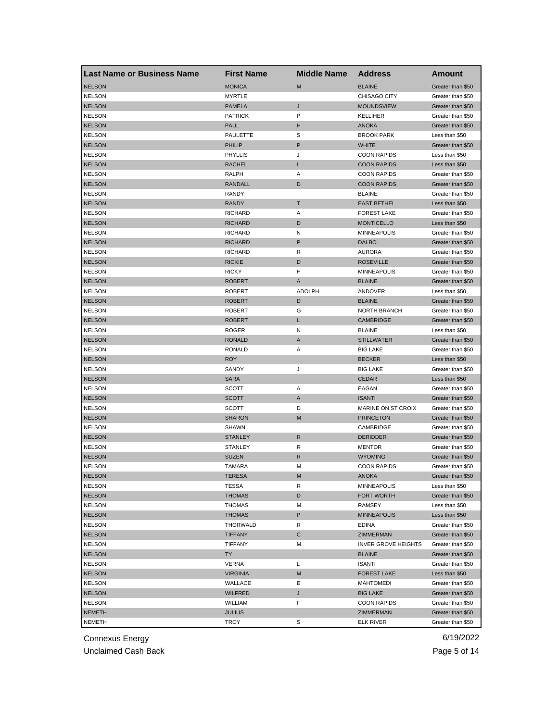| <b>Last Name or Business Name</b> | <b>First Name</b> | <b>Middle Name</b> | <b>Address</b>             | <b>Amount</b>     |
|-----------------------------------|-------------------|--------------------|----------------------------|-------------------|
| <b>NELSON</b>                     | <b>MONICA</b>     | M                  | <b>BLAINE</b>              | Greater than \$50 |
| <b>NELSON</b>                     | MYRTLE            |                    | CHISAGO CITY               | Greater than \$50 |
| <b>NELSON</b>                     | <b>PAMELA</b>     | J                  | <b>MOUNDSVIEW</b>          | Greater than \$50 |
| <b>NELSON</b>                     | <b>PATRICK</b>    | P                  | <b>KELLIHER</b>            | Greater than \$50 |
| <b>NELSON</b>                     | <b>PAUL</b>       | н                  | <b>ANOKA</b>               | Greater than \$50 |
| <b>NELSON</b>                     | PAULETTE          | S                  | <b>BROOK PARK</b>          | Less than \$50    |
| <b>NELSON</b>                     | PHILIP            | P                  | <b>WHITE</b>               | Greater than \$50 |
| <b>NELSON</b>                     | <b>PHYLLIS</b>    | J                  | <b>COON RAPIDS</b>         | Less than \$50    |
| <b>NELSON</b>                     | <b>RACHEL</b>     | L                  | <b>COON RAPIDS</b>         | Less than \$50    |
| <b>NELSON</b>                     | RALPH             | Α                  | <b>COON RAPIDS</b>         | Greater than \$50 |
| <b>NELSON</b>                     | <b>RANDALL</b>    | D                  | <b>COON RAPIDS</b>         | Greater than \$50 |
| <b>NELSON</b>                     | RANDY             |                    | <b>BLAINE</b>              | Greater than \$50 |
| <b>NELSON</b>                     | <b>RANDY</b>      | Τ                  | <b>EAST BETHEL</b>         | Less than \$50    |
| <b>NELSON</b>                     | <b>RICHARD</b>    | Α                  | <b>FOREST LAKE</b>         | Greater than \$50 |
| <b>NELSON</b>                     | <b>RICHARD</b>    | D                  | <b>MONTICELLO</b>          | Less than \$50    |
| <b>NELSON</b>                     | <b>RICHARD</b>    | N                  | <b>MINNEAPOLIS</b>         | Greater than \$50 |
| <b>NELSON</b>                     | <b>RICHARD</b>    | P                  | <b>DALBO</b>               | Greater than \$50 |
| <b>NELSON</b>                     | <b>RICHARD</b>    | R                  | <b>AURORA</b>              | Greater than \$50 |
| <b>NELSON</b>                     | <b>RICKIE</b>     | D                  | <b>ROSEVILLE</b>           | Greater than \$50 |
| <b>NELSON</b>                     | <b>RICKY</b>      | H                  | <b>MINNEAPOLIS</b>         | Greater than \$50 |
| <b>NELSON</b>                     | <b>ROBERT</b>     | A                  | <b>BLAINE</b>              | Greater than \$50 |
| <b>NELSON</b>                     | <b>ROBERT</b>     | <b>ADOLPH</b>      | ANDOVER                    | Less than \$50    |
| <b>NELSON</b>                     | <b>ROBERT</b>     | D                  | <b>BLAINE</b>              | Greater than \$50 |
| <b>NELSON</b>                     | <b>ROBERT</b>     | G                  | <b>NORTH BRANCH</b>        | Greater than \$50 |
| <b>NELSON</b>                     | <b>ROBERT</b>     | L                  | <b>CAMBRIDGE</b>           | Greater than \$50 |
| <b>NELSON</b>                     | <b>ROGER</b>      | N                  | <b>BLAINE</b>              | Less than \$50    |
| <b>NELSON</b>                     | <b>RONALD</b>     | A                  | <b>STILLWATER</b>          | Greater than \$50 |
| <b>NELSON</b>                     | RONALD            | Α                  | <b>BIG LAKE</b>            | Greater than \$50 |
| <b>NELSON</b>                     | <b>ROY</b>        |                    | <b>BECKER</b>              | Less than \$50    |
| <b>NELSON</b>                     | SANDY             | J                  | <b>BIG LAKE</b>            | Greater than \$50 |
| <b>NELSON</b>                     | <b>SARA</b>       |                    | <b>CEDAR</b>               | Less than \$50    |
| <b>NELSON</b>                     | SCOTT             | Α                  | EAGAN                      | Greater than \$50 |
| <b>NELSON</b>                     | <b>SCOTT</b>      | A                  | <b>ISANTI</b>              | Greater than \$50 |
| <b>NELSON</b>                     | SCOTT             | D                  | MARINE ON ST CROIX         | Greater than \$50 |
| <b>NELSON</b>                     | <b>SHARON</b>     | M                  | <b>PRINCETON</b>           | Greater than \$50 |
| <b>NELSON</b>                     | SHAWN             |                    | CAMBRIDGE                  | Greater than \$50 |
| <b>NELSON</b>                     | <b>STANLEY</b>    | R                  | <b>DERIDDER</b>            | Greater than \$50 |
| <b>NELSON</b>                     | STANLEY           | R                  | <b>MENTOR</b>              | Greater than \$50 |
| <b>NELSON</b>                     | <b>SUZEN</b>      | R                  | <b>WYOMING</b>             | Greater than \$50 |
| <b>NELSON</b>                     | TAMARA            | М                  | <b>COON RAPIDS</b>         | Greater than \$50 |
| <b>NELSON</b>                     | TERESA            | M                  | <b>ANOKA</b>               | Greater than \$50 |
| <b>NELSON</b>                     | TESSA             | R                  | <b>MINNEAPOLIS</b>         | Less than \$50    |
| <b>NELSON</b>                     | <b>THOMAS</b>     | D                  | FORT WORTH                 | Greater than \$50 |
| <b>NELSON</b>                     | THOMAS            | M                  | RAMSEY                     | Less than \$50    |
| <b>NELSON</b>                     | <b>THOMAS</b>     | P                  | <b>MINNEAPOLIS</b>         | Less than \$50    |
| <b>NELSON</b>                     | THORWALD          | R                  | <b>EDINA</b>               | Greater than \$50 |
| <b>NELSON</b>                     | <b>TIFFANY</b>    | С                  | ZIMMERMAN                  | Greater than \$50 |
| <b>NELSON</b>                     | TIFFANY           | M                  | <b>INVER GROVE HEIGHTS</b> | Greater than \$50 |
| <b>NELSON</b>                     | <b>TY</b>         |                    | <b>BLAINE</b>              | Greater than \$50 |
| <b>NELSON</b>                     | VERNA             | L                  | <b>ISANTI</b>              | Greater than \$50 |
| <b>NELSON</b>                     | <b>VIRGINIA</b>   | M                  | <b>FOREST LAKE</b>         | Less than \$50    |
| <b>NELSON</b>                     | WALLACE           | Ε                  | <b>MAHTOMEDI</b>           | Greater than \$50 |
| <b>NELSON</b>                     | WILFRED           | J                  | <b>BIG LAKE</b>            | Greater than \$50 |
| <b>NELSON</b>                     | WILLIAM           | F                  | <b>COON RAPIDS</b>         | Greater than \$50 |
| <b>NEMETH</b>                     | <b>JULIUS</b>     |                    | ZIMMERMAN                  | Greater than \$50 |
| <b>NEMETH</b>                     | TROY              | S                  | <b>ELK RIVER</b>           | Greater than \$50 |
|                                   |                   |                    |                            |                   |

Unclaimed Cash Back **Page 5 of 14**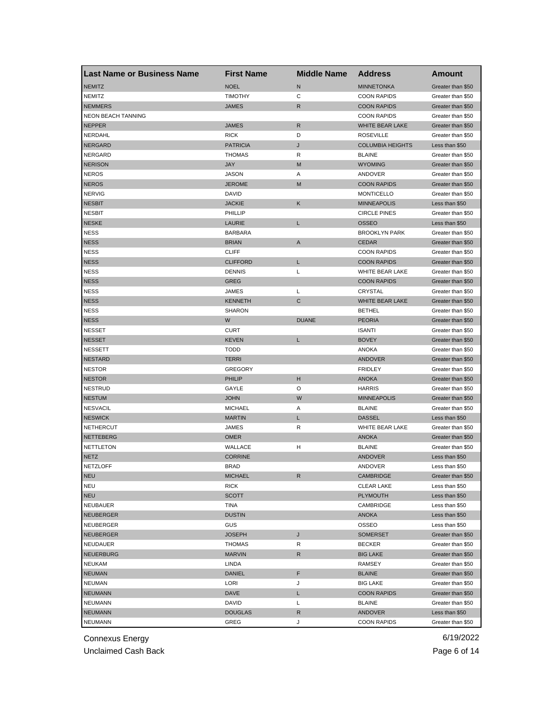| Last Name or Business Name | <b>First Name</b> | <b>Middle Name</b> | <b>Address</b>          | <b>Amount</b>     |
|----------------------------|-------------------|--------------------|-------------------------|-------------------|
| <b>NEMITZ</b>              | <b>NOEL</b>       | N                  | <b>MINNETONKA</b>       | Greater than \$50 |
| <b>NEMITZ</b>              | <b>TIMOTHY</b>    | С                  | <b>COON RAPIDS</b>      | Greater than \$50 |
| <b>NEMMERS</b>             | <b>JAMES</b>      | R                  | <b>COON RAPIDS</b>      | Greater than \$50 |
| <b>NEON BEACH TANNING</b>  |                   |                    | <b>COON RAPIDS</b>      | Greater than \$50 |
| <b>NEPPER</b>              | JAMES             | R                  | WHITE BEAR LAKE         | Greater than \$50 |
| NERDAHL                    | <b>RICK</b>       | D                  | <b>ROSEVILLE</b>        | Greater than \$50 |
| <b>NERGARD</b>             | <b>PATRICIA</b>   | J                  | <b>COLUMBIA HEIGHTS</b> | Less than \$50    |
| <b>NERGARD</b>             | <b>THOMAS</b>     | R                  | <b>BLAINE</b>           | Greater than \$50 |
| <b>NERISON</b>             | <b>JAY</b>        | M                  | <b>WYOMING</b>          | Greater than \$50 |
| <b>NEROS</b>               | <b>JASON</b>      | Α                  | ANDOVER                 | Greater than \$50 |
| <b>NEROS</b>               | <b>JEROME</b>     | M                  | <b>COON RAPIDS</b>      | Greater than \$50 |
| <b>NERVIG</b>              | <b>DAVID</b>      |                    | <b>MONTICELLO</b>       | Greater than \$50 |
| <b>NESBIT</b>              | <b>JACKIE</b>     | Κ                  | <b>MINNEAPOLIS</b>      | Less than \$50    |
| <b>NESBIT</b>              | PHILLIP           |                    | <b>CIRCLE PINES</b>     | Greater than \$50 |
| <b>NESKE</b>               | LAURIE            | L                  | <b>OSSEO</b>            | Less than \$50    |
| <b>NESS</b>                | <b>BARBARA</b>    |                    | <b>BROOKLYN PARK</b>    | Greater than \$50 |
| <b>NESS</b>                | <b>BRIAN</b>      | A                  | <b>CEDAR</b>            | Greater than \$50 |
| <b>NESS</b>                | <b>CLIFF</b>      |                    | <b>COON RAPIDS</b>      | Greater than \$50 |
| <b>NESS</b>                | <b>CLIFFORD</b>   | L                  | <b>COON RAPIDS</b>      | Greater than \$50 |
| <b>NESS</b>                | <b>DENNIS</b>     | L                  | <b>WHITE BEAR LAKE</b>  | Greater than \$50 |
| <b>NESS</b>                | GREG              |                    | <b>COON RAPIDS</b>      | Greater than \$50 |
| <b>NESS</b>                | JAMES             | Г                  | CRYSTAL                 | Greater than \$50 |
| <b>NESS</b>                | <b>KENNETH</b>    | C                  | WHITE BEAR LAKE         | Greater than \$50 |
| <b>NESS</b>                | <b>SHARON</b>     |                    | <b>BETHEL</b>           | Greater than \$50 |
| <b>NESS</b>                | W                 | <b>DUANE</b>       | <b>PEORIA</b>           | Greater than \$50 |
| <b>NESSET</b>              | <b>CURT</b>       |                    | <b>ISANTI</b>           | Greater than \$50 |
| <b>NESSET</b>              | <b>KEVEN</b>      | L                  | <b>BOVEY</b>            | Greater than \$50 |
| <b>NESSETT</b>             | <b>TODD</b>       |                    | ANOKA                   | Greater than \$50 |
| <b>NESTARD</b>             | <b>TERRI</b>      |                    | <b>ANDOVER</b>          | Greater than \$50 |
| <b>NESTOR</b>              | <b>GREGORY</b>    |                    | <b>FRIDLEY</b>          | Greater than \$50 |
| <b>NESTOR</b>              | PHILIP            | н                  | <b>ANOKA</b>            | Greater than \$50 |
| <b>NESTRUD</b>             | GAYLE             | O                  | <b>HARRIS</b>           | Greater than \$50 |
| <b>NESTUM</b>              | <b>JOHN</b>       | W                  | <b>MINNEAPOLIS</b>      | Greater than \$50 |
| <b>NESVACIL</b>            | <b>MICHAEL</b>    | Α                  | <b>BLAINE</b>           | Greater than \$50 |
| <b>NESWICK</b>             | <b>MARTIN</b>     | L                  | <b>DASSEL</b>           | Less than \$50    |
| <b>NETHERCUT</b>           | JAMES             | R                  | WHITE BEAR LAKE         | Greater than \$50 |
| <b>NETTEBERG</b>           | <b>OMER</b>       |                    | <b>ANOKA</b>            | Greater than \$50 |
| NETTLETON                  | WALLACE           | н                  | <b>BLAINE</b>           | Greater than \$50 |
| <b>NETZ</b>                | <b>CORRINE</b>    |                    | <b>ANDOVER</b>          | Less than \$50    |
| <b>NETZLOFF</b>            | <b>BRAD</b>       |                    | ANDOVER                 | Less than \$50    |
| <b>NEU</b>                 | <b>MICHAEL</b>    |                    | CAMBRIDGE               | Greater than \$50 |
| <b>NEU</b>                 | <b>RICK</b>       |                    | <b>CLEAR LAKE</b>       | Less than \$50    |
| <b>NEU</b>                 | <b>SCOTT</b>      |                    | PLYMOUTH                | Less than \$50    |
| NEUBAUER                   | TINA              |                    | CAMBRIDGE               | Less than \$50    |
| <b>NEUBERGER</b>           | <b>DUSTIN</b>     |                    | <b>ANOKA</b>            | Less than \$50    |
| NEUBERGER                  | GUS               |                    | OSSEO                   | Less than \$50    |
| <b>NEUBERGER</b>           | <b>JOSEPH</b>     | J                  | <b>SOMERSET</b>         | Greater than \$50 |
| NEUDAUER                   | THOMAS            | R                  | <b>BECKER</b>           | Greater than \$50 |
| <b>NEUERBURG</b>           | <b>MARVIN</b>     | R                  | <b>BIG LAKE</b>         | Greater than \$50 |
| <b>NEUKAM</b>              | LINDA             |                    | RAMSEY                  | Greater than \$50 |
| <b>NEUMAN</b>              | DANIEL            | F                  | <b>BLAINE</b>           | Greater than \$50 |
| <b>NEUMAN</b>              | LORI              | J                  | <b>BIG LAKE</b>         | Greater than \$50 |
| <b>NEUMANN</b>             | DAVE              | L                  | <b>COON RAPIDS</b>      | Greater than \$50 |
| <b>NEUMANN</b>             | DAVID             | Г                  | <b>BLAINE</b>           | Greater than \$50 |
| <b>NEUMANN</b>             | <b>DOUGLAS</b>    | R                  | <b>ANDOVER</b>          | Less than \$50    |
| <b>NEUMANN</b>             | GREG              | J                  | <b>COON RAPIDS</b>      | Greater than \$50 |
|                            |                   |                    |                         |                   |

Unclaimed Cash Back **Page 6 of 14**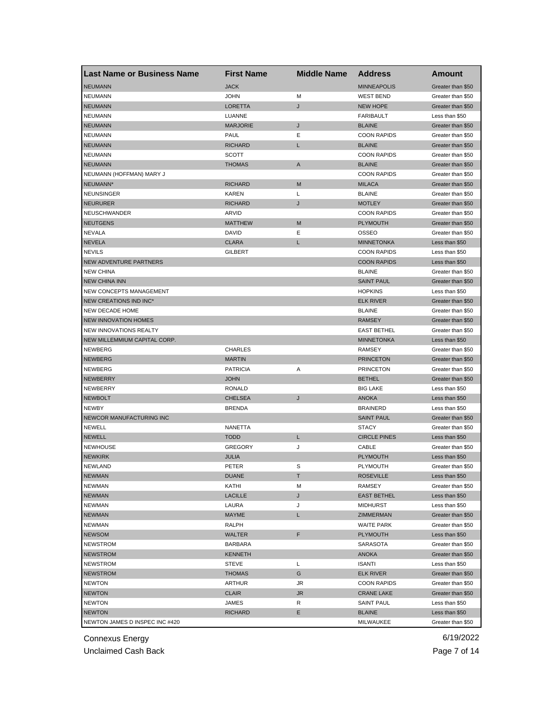| <b>Last Name or Business Name</b> | <b>First Name</b>                | <b>Middle Name</b> | <b>Address</b>           | Amount                                 |
|-----------------------------------|----------------------------------|--------------------|--------------------------|----------------------------------------|
| <b>NEUMANN</b>                    | <b>JACK</b>                      |                    | <b>MINNEAPOLIS</b>       | Greater than \$50                      |
| <b>NEUMANN</b>                    | <b>JOHN</b>                      | M                  | <b>WEST BEND</b>         | Greater than \$50                      |
| <b>NEUMANN</b>                    | <b>LORETTA</b>                   | J                  | <b>NEW HOPE</b>          | Greater than \$50                      |
| <b>NEUMANN</b>                    | LUANNE                           |                    | <b>FARIBAULT</b>         | Less than \$50                         |
| <b>NEUMANN</b>                    | <b>MARJORIE</b>                  | J                  | <b>BLAINE</b>            | Greater than \$50                      |
| <b>NEUMANN</b>                    | PAUL                             | Ε                  | <b>COON RAPIDS</b>       | Greater than \$50                      |
| <b>NEUMANN</b>                    | <b>RICHARD</b>                   | L                  | <b>BLAINE</b>            | Greater than \$50                      |
| <b>NEUMANN</b>                    | <b>SCOTT</b>                     |                    | <b>COON RAPIDS</b>       | Greater than \$50                      |
| <b>NEUMANN</b>                    | <b>THOMAS</b>                    | A                  | <b>BLAINE</b>            | Greater than \$50                      |
| NEUMANN (HOFFMAN) MARY J          |                                  |                    | <b>COON RAPIDS</b>       | Greater than \$50                      |
| NEUMANN*                          | <b>RICHARD</b>                   | M                  | <b>MILACA</b>            | Greater than \$50                      |
| <b>NEUNSINGER</b>                 | <b>KAREN</b>                     | Г                  | <b>BLAINE</b>            | Greater than \$50                      |
| <b>NEURURER</b>                   | <b>RICHARD</b>                   | J                  | <b>MOTLEY</b>            | Greater than \$50                      |
| <b>NEUSCHWANDER</b>               | ARVID                            |                    | <b>COON RAPIDS</b>       | Greater than \$50                      |
| <b>NEUTGENS</b>                   | <b>MATTHEW</b>                   | M                  | <b>PLYMOUTH</b>          | Greater than \$50                      |
| <b>NEVALA</b>                     | <b>DAVID</b>                     | Е                  | <b>OSSEO</b>             | Greater than \$50                      |
| <b>NEVELA</b>                     | <b>CLARA</b>                     | L                  | <b>MINNETONKA</b>        | Less than \$50                         |
| <b>NEVILS</b>                     | GILBERT                          |                    | <b>COON RAPIDS</b>       | Less than \$50                         |
| <b>NEW ADVENTURE PARTNERS</b>     |                                  |                    | <b>COON RAPIDS</b>       | Less than \$50                         |
| <b>NEW CHINA</b>                  |                                  |                    | <b>BLAINE</b>            | Greater than \$50                      |
| <b>NEW CHINA INN</b>              |                                  |                    | <b>SAINT PAUL</b>        | Greater than \$50                      |
| <b>NEW CONCEPTS MANAGEMENT</b>    |                                  |                    | <b>HOPKINS</b>           | Less than \$50                         |
| NEW CREATIONS IND INC*            |                                  |                    | <b>ELK RIVER</b>         | Greater than \$50                      |
| <b>NEW DECADE HOME</b>            |                                  |                    | <b>BLAINE</b>            | Greater than \$50                      |
| <b>NEW INNOVATION HOMES</b>       |                                  |                    | <b>RAMSEY</b>            | Greater than \$50                      |
| NEW INNOVATIONS REALTY            |                                  |                    | <b>EAST BETHEL</b>       | Greater than \$50                      |
| NEW MILLEMMIUM CAPITAL CORP.      |                                  |                    | <b>MINNETONKA</b>        | Less than \$50                         |
| <b>NEWBERG</b>                    | <b>CHARLES</b>                   |                    | RAMSEY                   | Greater than \$50                      |
| <b>NEWBERG</b>                    | <b>MARTIN</b>                    |                    | <b>PRINCETON</b>         | Greater than \$50                      |
| NEWBERG                           | <b>PATRICIA</b>                  | Α                  | <b>PRINCETON</b>         | Greater than \$50                      |
| <b>NEWBERRY</b>                   | <b>JOHN</b>                      |                    | <b>BETHEL</b>            | Greater than \$50                      |
| NEWBERRY                          | RONALD                           |                    | <b>BIG LAKE</b>          | Less than \$50                         |
| <b>NEWBOLT</b>                    | <b>CHELSEA</b>                   | J                  | <b>ANOKA</b>             | Less than \$50                         |
| <b>NEWBY</b>                      | <b>BRENDA</b>                    |                    | <b>BRAINERD</b>          | Less than \$50                         |
| NEWCOR MANUFACTURING INC          |                                  |                    | <b>SAINT PAUL</b>        | Greater than \$50                      |
| <b>NEWELL</b>                     | NANETTA                          |                    | <b>STACY</b>             | Greater than \$50                      |
| <b>NEWELL</b>                     | <b>TODD</b>                      | L                  | <b>CIRCLE PINES</b>      | Less than \$50                         |
| <b>NEWHOUSE</b>                   | <b>GREGORY</b>                   | J                  | CABLE                    | Greater than \$50                      |
| <b>NEWKIRK</b>                    | <b>JULIA</b>                     |                    | <b>PLYMOUTH</b>          | Less than \$50                         |
| <b>NEWLAND</b>                    | PETER                            | S                  | <b>PLYMOUTH</b>          | Greater than \$50                      |
| <b>NEWMAN</b>                     | <b>DUANE</b>                     | Т                  | <b>ROSEVILLE</b>         | Less than \$50                         |
| <b>NEWMAN</b>                     | KATHI                            | M                  | RAMSEY                   | Greater than \$50                      |
| <b>NEWMAN</b>                     | <b>LACILLE</b>                   | J                  | <b>EAST BETHEL</b>       | Less than \$50                         |
| <b>NEWMAN</b>                     | LAURA                            | J                  | MIDHURST                 | Less than \$50                         |
| <b>NEWMAN</b>                     | MAYME                            | L                  | ZIMMERMAN                | Greater than \$50                      |
| <b>NEWMAN</b>                     | RALPH                            |                    | <b>WAITE PARK</b>        | Greater than \$50                      |
| <b>NEWSOM</b>                     | WALTER                           | F                  | <b>PLYMOUTH</b>          | Less than \$50                         |
|                                   |                                  |                    |                          |                                        |
| NEWSTROM<br><b>NEWSTROM</b>       | <b>BARBARA</b><br><b>KENNETH</b> |                    | SARASOTA<br><b>ANOKA</b> | Greater than \$50<br>Greater than \$50 |
|                                   |                                  |                    |                          | Less than \$50                         |
| NEWSTROM                          | <b>STEVE</b>                     | Г                  | <b>ISANTI</b>            |                                        |
| <b>NEWSTROM</b>                   | THOMAS                           | G                  | <b>ELK RIVER</b>         | Greater than \$50                      |
| <b>NEWTON</b>                     | ARTHUR                           | JR                 | <b>COON RAPIDS</b>       | Greater than \$50                      |
| <b>NEWTON</b>                     | <b>CLAIR</b>                     | <b>JR</b>          | <b>CRANE LAKE</b>        | Greater than \$50                      |
| <b>NEWTON</b>                     | JAMES                            | R                  | <b>SAINT PAUL</b>        | Less than \$50                         |
| <b>NEWTON</b>                     | <b>RICHARD</b>                   | Е                  | <b>BLAINE</b>            | Less than \$50                         |
| NEWTON JAMES D INSPEC INC #420    |                                  |                    | MILWAUKEE                | Greater than \$50                      |

Unclaimed Cash Back **Page 7 of 14**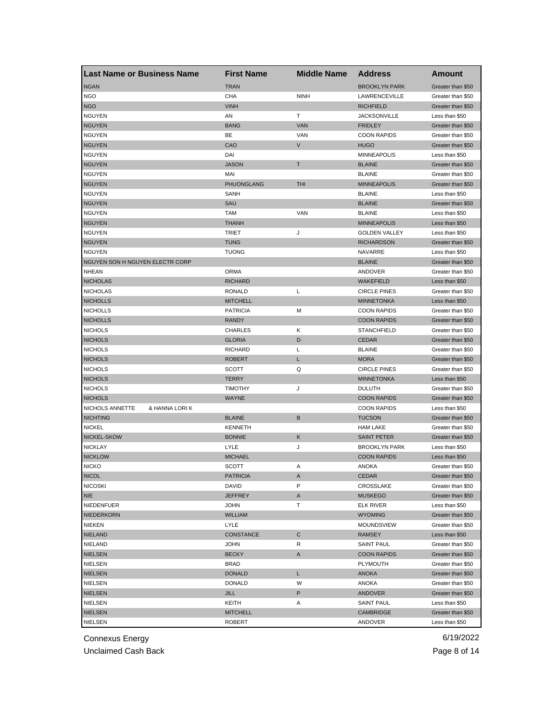| Last Name or Business Name             | <b>First Name</b> | <b>Middle Name</b> | <b>Address</b>       | Amount            |
|----------------------------------------|-------------------|--------------------|----------------------|-------------------|
| <b>NGAN</b>                            | <b>TRAN</b>       |                    | <b>BROOKLYN PARK</b> | Greater than \$50 |
| <b>NGO</b>                             | CHA               | <b>NINH</b>        | LAWRENCEVILLE        | Greater than \$50 |
| <b>NGO</b>                             | <b>VINH</b>       |                    | <b>RICHFIELD</b>     | Greater than \$50 |
| <b>NGUYEN</b>                          | AN                | т                  | <b>JACKSONVILLE</b>  | Less than \$50    |
| <b>NGUYEN</b>                          | <b>BANG</b>       | <b>VAN</b>         | <b>FRIDLEY</b>       | Greater than \$50 |
| <b>NGUYEN</b>                          | BE                | VAN                | <b>COON RAPIDS</b>   | Greater than \$50 |
| <b>NGUYEN</b>                          | CAO               | V                  | <b>HUGO</b>          | Greater than \$50 |
| <b>NGUYEN</b>                          | DAI               |                    | <b>MINNEAPOLIS</b>   | Less than \$50    |
| <b>NGUYEN</b>                          | <b>JASON</b>      | T                  | <b>BLAINE</b>        | Greater than \$50 |
| <b>NGUYEN</b>                          | MAI               |                    | <b>BLAINE</b>        | Greater than \$50 |
| <b>NGUYEN</b>                          | PHUONGLANG        | <b>THI</b>         | <b>MINNEAPOLIS</b>   | Greater than \$50 |
| <b>NGUYEN</b>                          | SANH              |                    | <b>BLAINE</b>        | Less than \$50    |
| <b>NGUYEN</b>                          | SAU               |                    | <b>BLAINE</b>        | Greater than \$50 |
| <b>NGUYEN</b>                          | <b>TAM</b>        | VAN                | <b>BLAINE</b>        | Less than \$50    |
| <b>NGUYEN</b>                          | <b>THANH</b>      |                    | <b>MINNEAPOLIS</b>   | Less than \$50    |
| <b>NGUYEN</b>                          | <b>TRIET</b>      | J                  | <b>GOLDEN VALLEY</b> | Less than \$50    |
| <b>NGUYEN</b>                          | <b>TUNG</b>       |                    | <b>RICHARDSON</b>    | Greater than \$50 |
| <b>NGUYEN</b>                          | <b>TUONG</b>      |                    | <b>NAVARRE</b>       | Less than \$50    |
| <b>NGUYEN SON H NGUYEN ELECTR CORP</b> |                   |                    | <b>BLAINE</b>        | Greater than \$50 |
| <b>NHEAN</b>                           | <b>ORMA</b>       |                    | ANDOVER              | Greater than \$50 |
| <b>NICHOLAS</b>                        | <b>RICHARD</b>    |                    | <b>WAKEFIELD</b>     | Less than \$50    |
| <b>NICHOLAS</b>                        | <b>RONALD</b>     | L                  | <b>CIRCLE PINES</b>  | Greater than \$50 |
| <b>NICHOLLS</b>                        | <b>MITCHELL</b>   |                    | <b>MINNETONKA</b>    | Less than \$50    |
| <b>NICHOLLS</b>                        | <b>PATRICIA</b>   | М                  | <b>COON RAPIDS</b>   | Greater than \$50 |
| <b>NICHOLLS</b>                        | <b>RANDY</b>      |                    | <b>COON RAPIDS</b>   | Greater than \$50 |
| <b>NICHOLS</b>                         | <b>CHARLES</b>    | Κ                  | <b>STANCHFIELD</b>   | Greater than \$50 |
| <b>NICHOLS</b>                         | <b>GLORIA</b>     | D                  | <b>CEDAR</b>         | Greater than \$50 |
|                                        | <b>RICHARD</b>    |                    |                      |                   |
| <b>NICHOLS</b>                         |                   | Г                  | <b>BLAINE</b>        | Greater than \$50 |
| <b>NICHOLS</b>                         | <b>ROBERT</b>     | L                  | <b>MORA</b>          | Greater than \$50 |
| <b>NICHOLS</b>                         | <b>SCOTT</b>      | Q                  | <b>CIRCLE PINES</b>  | Greater than \$50 |
| <b>NICHOLS</b>                         | <b>TERRY</b>      |                    | <b>MINNETONKA</b>    | Less than \$50    |
| <b>NICHOLS</b>                         | <b>TIMOTHY</b>    | J                  | <b>DULUTH</b>        | Greater than \$50 |
| <b>NICHOLS</b>                         | <b>WAYNE</b>      |                    | <b>COON RAPIDS</b>   | Greater than \$50 |
| NICHOLS ANNETTE<br>& HANNA LORI K      |                   |                    | <b>COON RAPIDS</b>   | Less than \$50    |
| <b>NICHTING</b>                        | <b>BLAINE</b>     | В                  | <b>TUCSON</b>        | Greater than \$50 |
| <b>NICKEL</b>                          | <b>KENNETH</b>    |                    | <b>HAM LAKE</b>      | Greater than \$50 |
| NICKEL-SKOW                            | <b>BONNIE</b>     | Κ                  | <b>SAINT PETER</b>   | Greater than \$50 |
| <b>NICKLAY</b>                         | LYLE              | J                  | <b>BROOKLYN PARK</b> | Less than \$50    |
| <b>NICKLOW</b>                         | <b>MICHAEL</b>    |                    | <b>COON RAPIDS</b>   | Less than \$50    |
| <b>NICKO</b>                           | <b>SCOTT</b>      | Α                  | <b>ANOKA</b>         | Greater than \$50 |
| <b>NICOL</b>                           | PATRICIA          | A                  | CEDAR                | Greater than \$50 |
| <b>NICOSKI</b>                         | DAVID             | Ρ                  | CROSSLAKE            | Greater than \$50 |
| <b>NIE</b>                             | <b>JEFFREY</b>    | A                  | <b>MUSKEGO</b>       | Greater than \$50 |
| NIEDENFUER                             | <b>JOHN</b>       | т                  | <b>ELK RIVER</b>     | Less than \$50    |
| NIEDERKORN                             | <b>WILLIAM</b>    |                    | <b>WYOMING</b>       | Greater than \$50 |
| <b>NIEKEN</b>                          | LYLE              |                    | MOUNDSVIEW           | Greater than \$50 |
| <b>NIELAND</b>                         | CONSTANCE         | С                  | RAMSEY               | Less than \$50    |
| NIELAND                                | <b>JOHN</b>       | R                  | <b>SAINT PAUL</b>    | Greater than \$50 |
| <b>NIELSEN</b>                         | <b>BECKY</b>      | Α                  | <b>COON RAPIDS</b>   | Greater than \$50 |
| NIELSEN                                | BRAD              |                    | PLYMOUTH             | Greater than \$50 |
| <b>NIELSEN</b>                         | <b>DONALD</b>     | L                  | ANOKA                | Greater than \$50 |
| NIELSEN                                | <b>DONALD</b>     | W                  | ANOKA                | Greater than \$50 |
| <b>NIELSEN</b>                         | JILL              | P                  | ANDOVER              | Greater than \$50 |
| NIELSEN                                | KEITH             | Α                  | <b>SAINT PAUL</b>    | Less than \$50    |
| <b>NIELSEN</b>                         | <b>MITCHELL</b>   |                    | CAMBRIDGE            | Greater than \$50 |
| NIELSEN                                | <b>ROBERT</b>     |                    | ANDOVER              | Less than \$50    |

Unclaimed Cash Back **Page 8 of 14**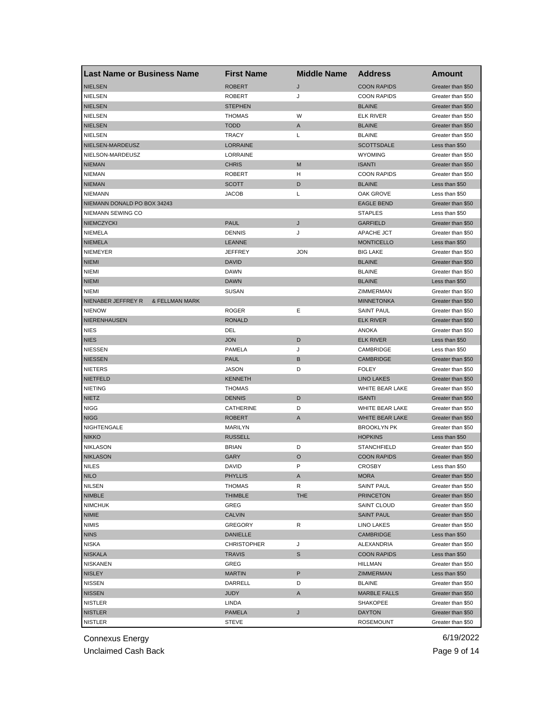| Last Name or Business Name                      | <b>First Name</b>  | <b>Middle Name</b> | <b>Address</b>      | <b>Amount</b>     |
|-------------------------------------------------|--------------------|--------------------|---------------------|-------------------|
| <b>NIELSEN</b>                                  | <b>ROBERT</b>      | J                  | <b>COON RAPIDS</b>  | Greater than \$50 |
| <b>NIELSEN</b>                                  | <b>ROBERT</b>      | J                  | <b>COON RAPIDS</b>  | Greater than \$50 |
| <b>NIELSEN</b>                                  | <b>STEPHEN</b>     |                    | <b>BLAINE</b>       | Greater than \$50 |
| <b>NIELSEN</b>                                  | <b>THOMAS</b>      | W                  | <b>ELK RIVER</b>    | Greater than \$50 |
| <b>NIELSEN</b>                                  | <b>TODD</b>        | A                  | <b>BLAINE</b>       | Greater than \$50 |
| <b>NIELSEN</b>                                  | <b>TRACY</b>       | L                  | <b>BLAINE</b>       | Greater than \$50 |
| NIELSEN-MARDEUSZ                                | <b>LORRAINE</b>    |                    | <b>SCOTTSDALE</b>   | Less than \$50    |
| NIELSON-MARDEUSZ                                | LORRAINE           |                    | <b>WYOMING</b>      | Greater than \$50 |
| <b>NIEMAN</b>                                   | <b>CHRIS</b>       | M                  | <b>ISANTI</b>       | Greater than \$50 |
| <b>NIEMAN</b>                                   | <b>ROBERT</b>      | н                  | <b>COON RAPIDS</b>  | Greater than \$50 |
| <b>NIEMAN</b>                                   | <b>SCOTT</b>       | D                  | <b>BLAINE</b>       | Less than \$50    |
| <b>NIEMANN</b>                                  | <b>JACOB</b>       | Г                  | OAK GROVE           | Less than \$50    |
| NIEMANN DONALD PO BOX 34243                     |                    |                    | <b>EAGLE BEND</b>   | Greater than \$50 |
| NIEMANN SEWING CO                               |                    |                    | <b>STAPLES</b>      | Less than \$50    |
| <b>NIEMCZYCKI</b>                               | <b>PAUL</b>        | J                  | <b>GARFIELD</b>     | Greater than \$50 |
| NIEMELA                                         | <b>DENNIS</b>      | J                  | APACHE JCT          | Greater than \$50 |
| <b>NIEMELA</b>                                  | <b>LEANNE</b>      |                    | <b>MONTICELLO</b>   | Less than \$50    |
| NIEMEYER                                        | <b>JEFFREY</b>     | <b>JON</b>         | <b>BIG LAKE</b>     | Greater than \$50 |
| <b>NIEMI</b>                                    | <b>DAVID</b>       |                    | <b>BLAINE</b>       | Greater than \$50 |
| <b>NIEMI</b>                                    | <b>DAWN</b>        |                    | <b>BLAINE</b>       | Greater than \$50 |
| <b>NIEMI</b>                                    | <b>DAWN</b>        |                    | <b>BLAINE</b>       | Less than \$50    |
| <b>NIEMI</b>                                    | <b>SUSAN</b>       |                    | ZIMMERMAN           | Greater than \$50 |
| NIENABER JEFFREY R<br><b>&amp; FELLMAN MARK</b> |                    |                    | <b>MINNETONKA</b>   | Greater than \$50 |
| <b>NIENOW</b>                                   | <b>ROGER</b>       | Ε                  | <b>SAINT PAUL</b>   | Greater than \$50 |
| NIERENHAUSEN                                    | <b>RONALD</b>      |                    | <b>ELK RIVER</b>    | Greater than \$50 |
| <b>NIES</b>                                     | DEL                |                    | ANOKA               | Greater than \$50 |
| <b>NIES</b>                                     | <b>JON</b>         | D                  | <b>ELK RIVER</b>    | Less than \$50    |
| <b>NIESSEN</b>                                  | PAMELA             | J                  | CAMBRIDGE           | Less than \$50    |
| <b>NIESSEN</b>                                  | <b>PAUL</b>        | В                  | <b>CAMBRIDGE</b>    | Greater than \$50 |
| <b>NIETERS</b>                                  | <b>JASON</b>       | D                  | <b>FOLEY</b>        | Greater than \$50 |
| <b>NIETFELD</b>                                 | <b>KENNETH</b>     |                    | <b>LINO LAKES</b>   | Greater than \$50 |
| <b>NIETING</b>                                  | <b>THOMAS</b>      |                    | WHITE BEAR LAKE     | Greater than \$50 |
| <b>NIETZ</b>                                    | <b>DENNIS</b>      | D                  | <b>ISANTI</b>       | Greater than \$50 |
| <b>NIGG</b>                                     | CATHERINE          | D                  | WHITE BEAR LAKE     | Greater than \$50 |
| <b>NIGG</b>                                     | <b>ROBERT</b>      | A                  | WHITE BEAR LAKE     | Greater than \$50 |
| NIGHTENGALE                                     | MARILYN            |                    | <b>BROOKLYN PK</b>  | Greater than \$50 |
| <b>NIKKO</b>                                    | <b>RUSSELL</b>     |                    | <b>HOPKINS</b>      | Less than \$50    |
| <b>NIKLASON</b>                                 | <b>BRIAN</b>       | D                  | <b>STANCHFIELD</b>  | Greater than \$50 |
| <b>NIKLASON</b>                                 | <b>GARY</b>        | O                  | <b>COON RAPIDS</b>  | Greater than \$50 |
| <b>NILES</b>                                    | <b>DAVID</b>       | P                  | <b>CROSBY</b>       | Less than \$50    |
| <b>NILO</b>                                     | PHYLLIS            | A                  | <b>MORA</b>         | Greater than \$50 |
| <b>NILSEN</b>                                   | <b>THOMAS</b>      | R                  | <b>SAINT PAUL</b>   | Greater than \$50 |
| <b>NIMBLE</b>                                   | <b>THIMBLE</b>     | <b>THE</b>         | <b>PRINCETON</b>    | Greater than \$50 |
| <b>NIMCHUK</b>                                  | GREG               |                    | <b>SAINT CLOUD</b>  | Greater than \$50 |
| <b>NIMIE</b>                                    | <b>CALVIN</b>      |                    | <b>SAINT PAUL</b>   | Greater than \$50 |
| <b>NIMIS</b>                                    | <b>GREGORY</b>     | R                  | LINO LAKES          | Greater than \$50 |
| <b>NINS</b>                                     | DANIELLE           |                    | CAMBRIDGE           | Less than \$50    |
| <b>NISKA</b>                                    | <b>CHRISTOPHER</b> | J                  | ALEXANDRIA          | Greater than \$50 |
| <b>NISKALA</b>                                  | <b>TRAVIS</b>      | S                  | <b>COON RAPIDS</b>  | Less than \$50    |
| <b>NISKANEN</b>                                 | GREG               |                    | HILLMAN             | Greater than \$50 |
| <b>NISLEY</b>                                   | <b>MARTIN</b>      | P                  | ZIMMERMAN           | Less than \$50    |
| <b>NISSEN</b>                                   | DARRELL            | D                  | <b>BLAINE</b>       | Greater than \$50 |
| <b>NISSEN</b>                                   | JUDY               | Α                  | <b>MARBLE FALLS</b> | Greater than \$50 |
| <b>NISTLER</b>                                  | LINDA              |                    | <b>SHAKOPEE</b>     | Greater than \$50 |
| <b>NISTLER</b>                                  | <b>PAMELA</b>      | J                  | <b>DAYTON</b>       | Greater than \$50 |
| <b>NISTLER</b>                                  | <b>STEVE</b>       |                    | <b>ROSEMOUNT</b>    | Greater than \$50 |
|                                                 |                    |                    |                     |                   |

Unclaimed Cash Back **Page 9 of 14**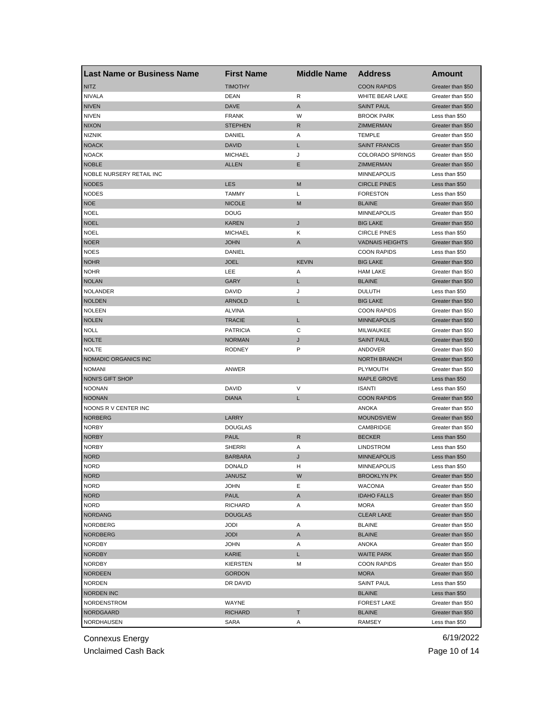| Last Name or Business Name | <b>First Name</b> | <b>Middle Name</b> | <b>Address</b>          | Amount            |
|----------------------------|-------------------|--------------------|-------------------------|-------------------|
| <b>NITZ</b>                | <b>TIMOTHY</b>    |                    | <b>COON RAPIDS</b>      | Greater than \$50 |
| <b>NIVALA</b>              | DEAN              | R                  | WHITE BEAR LAKE         | Greater than \$50 |
| <b>NIVEN</b>               | <b>DAVE</b>       | A                  | <b>SAINT PAUL</b>       | Greater than \$50 |
| <b>NIVEN</b>               | <b>FRANK</b>      | W                  | <b>BROOK PARK</b>       | Less than \$50    |
| <b>NIXON</b>               | <b>STEPHEN</b>    | R                  | <b>ZIMMERMAN</b>        | Greater than \$50 |
| <b>NIZNIK</b>              | DANIEL            | Α                  | <b>TEMPLE</b>           | Greater than \$50 |
| <b>NOACK</b>               | <b>DAVID</b>      | Г                  | <b>SAINT FRANCIS</b>    | Greater than \$50 |
| <b>NOACK</b>               | <b>MICHAEL</b>    | J                  | <b>COLORADO SPRINGS</b> | Greater than \$50 |
| <b>NOBLE</b>               | <b>ALLEN</b>      | Ε                  | <b>ZIMMERMAN</b>        | Greater than \$50 |
| NOBLE NURSERY RETAIL INC   |                   |                    | <b>MINNEAPOLIS</b>      | Less than \$50    |
| <b>NODES</b>               | <b>LES</b>        | M                  | <b>CIRCLE PINES</b>     | Less than \$50    |
| <b>NODES</b>               | <b>TAMMY</b>      | Г                  | <b>FORESTON</b>         | Less than \$50    |
| <b>NOE</b>                 | <b>NICOLE</b>     | M                  | <b>BLAINE</b>           | Greater than \$50 |
| <b>NOEL</b>                | <b>DOUG</b>       |                    | <b>MINNEAPOLIS</b>      | Greater than \$50 |
| <b>NOEL</b>                | <b>KAREN</b>      | J                  | <b>BIG LAKE</b>         | Greater than \$50 |
| <b>NOEL</b>                | <b>MICHAEL</b>    | κ                  | <b>CIRCLE PINES</b>     | Less than \$50    |
| <b>NOER</b>                | <b>JOHN</b>       | A                  | <b>VADNAIS HEIGHTS</b>  | Greater than \$50 |
| <b>NOES</b>                | DANIEL            |                    | <b>COON RAPIDS</b>      | Less than \$50    |
| <b>NOHR</b>                | <b>JOEL</b>       | <b>KEVIN</b>       | <b>BIG LAKE</b>         | Greater than \$50 |
| <b>NOHR</b>                | LEE               | Α                  | <b>HAM LAKE</b>         | Greater than \$50 |
| <b>NOLAN</b>               | <b>GARY</b>       | L                  | <b>BLAINE</b>           | Greater than \$50 |
| <b>NOLANDER</b>            | <b>DAVID</b>      | J                  | <b>DULUTH</b>           | Less than \$50    |
| <b>NOLDEN</b>              | <b>ARNOLD</b>     | L                  | <b>BIG LAKE</b>         |                   |
|                            |                   |                    |                         | Greater than \$50 |
| <b>NOLEEN</b>              | <b>ALVINA</b>     |                    | <b>COON RAPIDS</b>      | Greater than \$50 |
| <b>NOLEN</b>               | <b>TRACIE</b>     | L                  | <b>MINNEAPOLIS</b>      | Greater than \$50 |
| <b>NOLL</b>                | <b>PATRICIA</b>   | C                  | MILWAUKEE               | Greater than \$50 |
| <b>NOLTE</b>               | <b>NORMAN</b>     | J                  | <b>SAINT PAUL</b>       | Greater than \$50 |
| <b>NOLTE</b>               | <b>RODNEY</b>     | P                  | ANDOVER                 | Greater than \$50 |
| NOMADIC ORGANICS INC       |                   |                    | <b>NORTH BRANCH</b>     | Greater than \$50 |
| <b>NOMANI</b>              | ANWER             |                    | PLYMOUTH                | Greater than \$50 |
| <b>NONI'S GIFT SHOP</b>    |                   |                    | <b>MAPLE GROVE</b>      | Less than \$50    |
| <b>NOONAN</b>              | <b>DAVID</b>      | V                  | <b>ISANTI</b>           | Less than \$50    |
| <b>NOONAN</b>              | <b>DIANA</b>      | L                  | <b>COON RAPIDS</b>      | Greater than \$50 |
| NOONS R V CENTER INC       |                   |                    | ANOKA                   | Greater than \$50 |
| <b>NORBERG</b>             | LARRY             |                    | <b>MOUNDSVIEW</b>       | Greater than \$50 |
| <b>NORBY</b>               | <b>DOUGLAS</b>    |                    | CAMBRIDGE               | Greater than \$50 |
| <b>NORBY</b>               | <b>PAUL</b>       | R                  | <b>BECKER</b>           | Less than \$50    |
| <b>NORBY</b>               | <b>SHERRI</b>     | Α                  | <b>LINDSTROM</b>        | Less than \$50    |
| <b>NORD</b>                | <b>BARBARA</b>    | J                  | <b>MINNEAPOLIS</b>      | Less than \$50    |
| <b>NORD</b>                | <b>DONALD</b>     | н                  | <b>MINNEAPOLIS</b>      | Less than \$50    |
| <b>NORD</b>                | <b>JANUSZ</b>     | W                  | <b>BROOKLYN PK</b>      | Greater than \$50 |
| <b>NORD</b>                | <b>JOHN</b>       | Ε                  | <b>WACONIA</b>          | Greater than \$50 |
| <b>NORD</b>                | <b>PAUL</b>       | Α                  | <b>IDAHO FALLS</b>      | Greater than \$50 |
| <b>NORD</b>                | <b>RICHARD</b>    | Α                  | MORA                    | Greater than \$50 |
| <b>NORDANG</b>             | <b>DOUGLAS</b>    |                    | <b>CLEAR LAKE</b>       | Greater than \$50 |
| NORDBERG                   | JODI              | Α                  | <b>BLAINE</b>           | Greater than \$50 |
| <b>NORDBERG</b>            | <b>JODI</b>       | Α                  | <b>BLAINE</b>           | Greater than \$50 |
| <b>NORDBY</b>              | <b>JOHN</b>       | Α                  | ANOKA                   | Greater than \$50 |
| <b>NORDBY</b>              | KARIE             | L                  | <b>WAITE PARK</b>       | Greater than \$50 |
| <b>NORDBY</b>              | KIERSTEN          | М                  | <b>COON RAPIDS</b>      | Greater than \$50 |
| <b>NORDEEN</b>             | <b>GORDON</b>     |                    | <b>MORA</b>             | Greater than \$50 |
| NORDEN                     | DR DAVID          |                    | <b>SAINT PAUL</b>       | Less than \$50    |
| <b>NORDEN INC</b>          |                   |                    | <b>BLAINE</b>           | Less than \$50    |
| NORDENSTROM                | WAYNE             |                    | <b>FOREST LAKE</b>      | Greater than \$50 |
| <b>NORDGAARD</b>           | <b>RICHARD</b>    | T                  | <b>BLAINE</b>           | Greater than \$50 |
| NORDHAUSEN                 | SARA              | Α                  | RAMSEY                  | Less than \$50    |
|                            |                   |                    |                         |                   |

Unclaimed Cash Back **Page 10 of 14**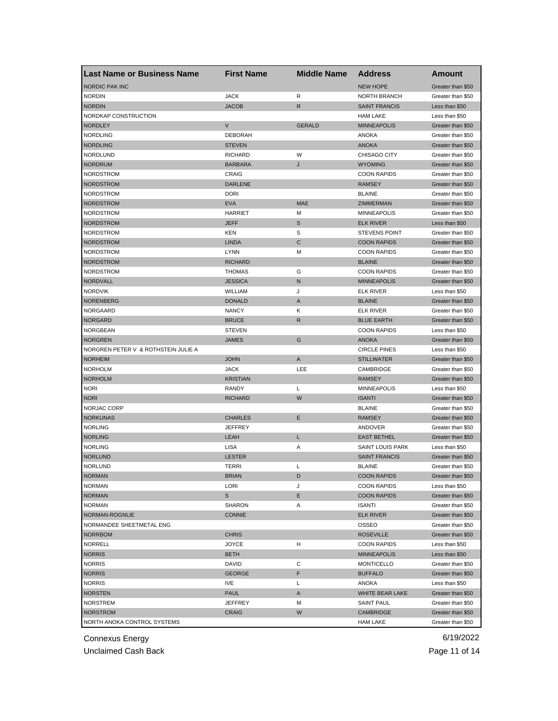| Last Name or Business Name          | <b>First Name</b> | <b>Middle Name</b> | <b>Address</b>          | Amount            |
|-------------------------------------|-------------------|--------------------|-------------------------|-------------------|
| <b>NORDIC PAK INC</b>               |                   |                    | <b>NEW HOPE</b>         | Greater than \$50 |
| <b>NORDIN</b>                       | <b>JACK</b>       | R                  | <b>NORTH BRANCH</b>     | Greater than \$50 |
| <b>NORDIN</b>                       | <b>JACOB</b>      | R                  | <b>SAINT FRANCIS</b>    | Less than \$50    |
| NORDKAP CONSTRUCTION                |                   |                    | <b>HAM LAKE</b>         | Less than \$50    |
| <b>NORDLEY</b>                      | V                 | <b>GERALD</b>      | <b>MINNEAPOLIS</b>      | Greater than \$50 |
| <b>NORDLING</b>                     | <b>DEBORAH</b>    |                    | ANOKA                   | Greater than \$50 |
| <b>NORDLING</b>                     | <b>STEVEN</b>     |                    | <b>ANOKA</b>            | Greater than \$50 |
| NORDLUND                            | <b>RICHARD</b>    | W                  | CHISAGO CITY            | Greater than \$50 |
| <b>NORDRUM</b>                      | <b>BARBARA</b>    | J                  | <b>WYOMING</b>          | Greater than \$50 |
| <b>NORDSTROM</b>                    | CRAIG             |                    | <b>COON RAPIDS</b>      | Greater than \$50 |
| <b>NORDSTROM</b>                    | <b>DARLENE</b>    |                    | <b>RAMSEY</b>           | Greater than \$50 |
| NORDSTROM                           | <b>DORI</b>       |                    | <b>BLAINE</b>           | Greater than \$50 |
| <b>NORDSTROM</b>                    | <b>EVA</b>        | <b>MAE</b>         | ZIMMERMAN               | Greater than \$50 |
| NORDSTROM                           | <b>HARRIET</b>    | М                  | <b>MINNEAPOLIS</b>      | Greater than \$50 |
| <b>NORDSTROM</b>                    | <b>JEFF</b>       | S                  | <b>ELK RIVER</b>        | Less than \$50    |
| NORDSTROM                           | KEN               | S                  | <b>STEVENS POINT</b>    | Greater than \$50 |
| <b>NORDSTROM</b>                    | <b>LINDA</b>      | C                  | <b>COON RAPIDS</b>      | Greater than \$50 |
| NORDSTROM                           | <b>LYNN</b>       | М                  | <b>COON RAPIDS</b>      | Greater than \$50 |
| <b>NORDSTROM</b>                    | <b>RICHARD</b>    |                    | <b>BLAINE</b>           | Greater than \$50 |
| NORDSTROM                           | <b>THOMAS</b>     | G                  | <b>COON RAPIDS</b>      | Greater than \$50 |
| NORDVALL                            | <b>JESSICA</b>    | N                  | <b>MINNEAPOLIS</b>      | Greater than \$50 |
| <b>NORDVIK</b>                      | <b>WILLIAM</b>    | J                  | <b>ELK RIVER</b>        | Less than \$50    |
| <b>NORENBERG</b>                    | <b>DONALD</b>     | A                  | <b>BLAINE</b>           | Greater than \$50 |
| NORGAARD                            | <b>NANCY</b>      | κ                  | <b>ELK RIVER</b>        | Greater than \$50 |
| <b>NORGARD</b>                      | <b>BRUCE</b>      | R                  | <b>BLUE EARTH</b>       | Greater than \$50 |
| <b>NORGBEAN</b>                     | <b>STEVEN</b>     |                    | <b>COON RAPIDS</b>      | Less than \$50    |
| <b>NORGREN</b>                      | JAMES             | G                  | <b>ANOKA</b>            | Greater than \$50 |
| NORGREN PETER V & ROTHSTEIN JULIE A |                   |                    | <b>CIRCLE PINES</b>     | Less than \$50    |
| NORHEIM                             | <b>JOHN</b>       | Α                  | <b>STILLWATER</b>       |                   |
| <b>NORHOLM</b>                      | <b>JACK</b>       | LEE                | CAMBRIDGE               | Greater than \$50 |
|                                     |                   |                    |                         | Greater than \$50 |
| <b>NORHOLM</b>                      | <b>KRISTIAN</b>   |                    | <b>RAMSEY</b>           | Greater than \$50 |
| <b>NORI</b>                         | RANDY             | Г                  | <b>MINNEAPOLIS</b>      | Less than \$50    |
| <b>NORI</b>                         | <b>RICHARD</b>    | W                  | <b>ISANTI</b>           | Greater than \$50 |
| NORJAC CORP                         |                   |                    | <b>BLAINE</b>           | Greater than \$50 |
| <b>NORKUNAS</b>                     | <b>CHARLES</b>    | Е                  | <b>RAMSEY</b>           | Greater than \$50 |
| <b>NORLING</b>                      | <b>JEFFREY</b>    |                    | ANDOVER                 | Greater than \$50 |
| <b>NORLING</b>                      | <b>LEAH</b>       | L                  | <b>EAST BETHEL</b>      | Greater than \$50 |
| <b>NORLING</b>                      | <b>LISA</b>       | Α                  | <b>SAINT LOUIS PARK</b> | Less than \$50    |
| <b>NORLUND</b>                      | <b>LESTER</b>     |                    | <b>SAINT FRANCIS</b>    | Greater than \$50 |
| <b>NORLUND</b>                      | TERRI             | Г                  | <b>BLAINE</b>           | Greater than \$50 |
| <b>NORMAN</b>                       | <b>BRIAN</b>      | D                  | <b>COON RAPIDS</b>      | Greater than \$50 |
| <b>NORMAN</b>                       | LORI              | J                  | <b>COON RAPIDS</b>      | Less than \$50    |
| <b>NORMAN</b>                       | S                 | Е                  | <b>COON RAPIDS</b>      | Greater than \$50 |
| <b>NORMAN</b>                       | <b>SHARON</b>     | Α                  | <b>ISANTI</b>           | Greater than \$50 |
| NORMAN-ROGNLIE                      | <b>CONNIE</b>     |                    | <b>ELK RIVER</b>        | Greater than \$50 |
| NORMANDEE SHEETMETAL ENG            |                   |                    | OSSEO                   | Greater than \$50 |
| <b>NORRBOM</b>                      | <b>CHRIS</b>      |                    | <b>ROSEVILLE</b>        | Greater than \$50 |
| <b>NORRELL</b>                      | <b>JOYCE</b>      | н                  | <b>COON RAPIDS</b>      | Less than \$50    |
| <b>NORRIS</b>                       | <b>BETH</b>       |                    | <b>MINNEAPOLIS</b>      | Less than \$50    |
| <b>NORRIS</b>                       | DAVID             | С                  | <b>MONTICELLO</b>       | Greater than \$50 |
| <b>NORRIS</b>                       | <b>GEORGE</b>     | F                  | <b>BUFFALO</b>          | Greater than \$50 |
| <b>NORRIS</b>                       | IVE               | Г                  | ANOKA                   | Less than \$50    |
| <b>NORSTEN</b>                      | <b>PAUL</b>       | Α                  | WHITE BEAR LAKE         | Greater than \$50 |
| <b>NORSTREM</b>                     | <b>JEFFREY</b>    | М                  | <b>SAINT PAUL</b>       | Greater than \$50 |
| <b>NORSTROM</b>                     | <b>CRAIG</b>      | W                  | CAMBRIDGE               | Greater than \$50 |
| NORTH ANOKA CONTROL SYSTEMS         |                   |                    | <b>HAM LAKE</b>         | Greater than \$50 |

Unclaimed Cash Back **Page 11 of 14**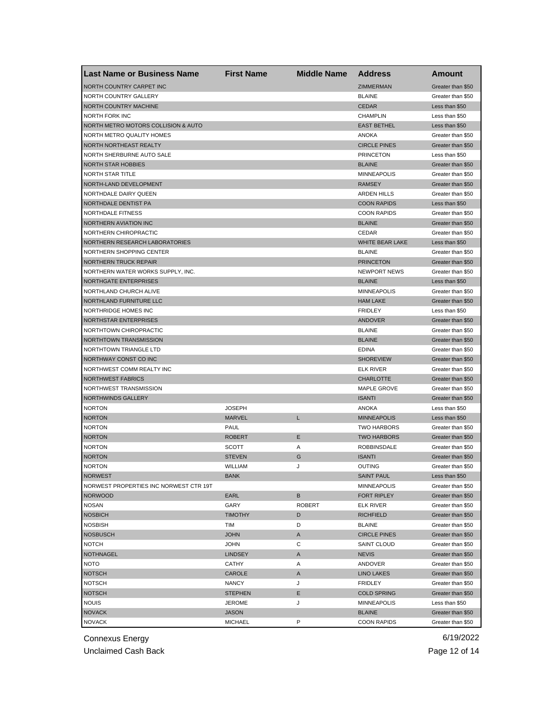| <b>Last Name or Business Name</b>      | <b>First Name</b> | <b>Middle Name</b> | <b>Address</b>         | Amount                              |
|----------------------------------------|-------------------|--------------------|------------------------|-------------------------------------|
| <b>NORTH COUNTRY CARPET INC</b>        |                   |                    | <b>ZIMMERMAN</b>       | Greater than \$50                   |
| NORTH COUNTRY GALLERY                  |                   |                    | <b>BLAINE</b>          | Greater than \$50                   |
| <b>NORTH COUNTRY MACHINE</b>           |                   |                    | <b>CEDAR</b>           | Less than \$50                      |
| NORTH FORK INC                         |                   |                    | <b>CHAMPLIN</b>        | Less than \$50                      |
| NORTH METRO MOTORS COLLISION & AUTO    |                   |                    | <b>EAST BETHEL</b>     | Less than \$50                      |
| NORTH METRO QUALITY HOMES              |                   |                    | ANOKA                  | Greater than \$50                   |
| NORTH NORTHEAST REALTY                 |                   |                    | <b>CIRCLE PINES</b>    | Greater than \$50                   |
| NORTH SHERBURNE AUTO SALE              |                   |                    | <b>PRINCETON</b>       | Less than \$50                      |
| <b>NORTH STAR HOBBIES</b>              |                   |                    | <b>BLAINE</b>          | Greater than \$50                   |
| <b>NORTH STAR TITLE</b>                |                   |                    | <b>MINNEAPOLIS</b>     | Greater than \$50                   |
| NORTH-LAND DEVELOPMENT                 |                   |                    | <b>RAMSEY</b>          | Greater than \$50                   |
| NORTHDALE DAIRY QUEEN                  |                   |                    | <b>ARDEN HILLS</b>     | Greater than \$50                   |
| NORTHDALE DENTIST PA                   |                   |                    | <b>COON RAPIDS</b>     | Less than \$50                      |
| NORTHDALE FITNESS                      |                   |                    | <b>COON RAPIDS</b>     | Greater than \$50                   |
| NORTHERN AVIATION INC                  |                   |                    | <b>BLAINE</b>          | Greater than \$50                   |
| NORTHERN CHIROPRACTIC                  |                   |                    | CEDAR                  | Greater than \$50                   |
| NORTHERN RESEARCH LABORATORIES         |                   |                    | <b>WHITE BEAR LAKE</b> | Less than \$50                      |
| NORTHERN SHOPPING CENTER               |                   |                    | <b>BLAINE</b>          | Greater than \$50                   |
| <b>NORTHERN TRUCK REPAIR</b>           |                   |                    | <b>PRINCETON</b>       | Greater than \$50                   |
| NORTHERN WATER WORKS SUPPLY, INC.      |                   |                    | <b>NEWPORT NEWS</b>    | Greater than \$50                   |
| NORTHGATE ENTERPRISES                  |                   |                    | <b>BLAINE</b>          | Less than \$50                      |
| NORTHLAND CHURCH ALIVE                 |                   |                    | <b>MINNEAPOLIS</b>     | Greater than \$50                   |
| NORTHLAND FURNITURE LLC                |                   |                    | <b>HAM LAKE</b>        | Greater than \$50                   |
| NORTHRIDGE HOMES INC                   |                   |                    | <b>FRIDLEY</b>         |                                     |
| <b>NORTHSTAR ENTERPRISES</b>           |                   |                    | ANDOVER                | Less than \$50<br>Greater than \$50 |
| <b>NORTHTOWN CHIROPRACTIC</b>          |                   |                    |                        |                                     |
|                                        |                   |                    | <b>BLAINE</b>          | Greater than \$50                   |
| NORTHTOWN TRANSMISSION                 |                   |                    | <b>BLAINE</b>          | Greater than \$50                   |
| NORTHTOWN TRIANGLE LTD                 |                   |                    | <b>EDINA</b>           | Greater than \$50                   |
| NORTHWAY CONST CO INC                  |                   |                    | <b>SHOREVIEW</b>       | Greater than \$50                   |
| NORTHWEST COMM REALTY INC              |                   |                    | <b>ELK RIVER</b>       | Greater than \$50                   |
| <b>NORTHWEST FABRICS</b>               |                   |                    | <b>CHARLOTTE</b>       | Greater than \$50                   |
| NORTHWEST TRANSMISSION                 |                   |                    | MAPLE GROVE            | Greater than \$50                   |
| <b>NORTHWINDS GALLERY</b>              |                   |                    | <b>ISANTI</b>          | Greater than \$50                   |
| <b>NORTON</b>                          | <b>JOSEPH</b>     |                    | <b>ANOKA</b>           | Less than \$50                      |
| <b>NORTON</b>                          | <b>MARVEL</b>     | L                  | <b>MINNEAPOLIS</b>     | Less than \$50                      |
| <b>NORTON</b>                          | PAUL              |                    | <b>TWO HARBORS</b>     | Greater than \$50                   |
| <b>NORTON</b>                          | <b>ROBERT</b>     | Е                  | <b>TWO HARBORS</b>     | Greater than \$50                   |
| <b>NORTON</b>                          | SCOTT             | Α                  | ROBBINSDALE            | Greater than \$50                   |
| <b>NORTON</b>                          | <b>STEVEN</b>     | G                  | <b>ISANTI</b>          | Greater than \$50                   |
| <b>NORTON</b>                          | WILLIAM           | J                  | OUTING                 | Greater than \$50                   |
| <b>NORWEST</b>                         | <b>BANK</b>       |                    | <b>SAINT PAUL</b>      | Less than \$50                      |
| NORWEST PROPERTIES INC NORWEST CTR 19T |                   |                    | <b>MINNEAPOLIS</b>     | Greater than \$50                   |
| <b>NORWOOD</b>                         | EARL              | B                  | FORT RIPLEY            | Greater than \$50                   |
| <b>NOSAN</b>                           | GARY              | <b>ROBERT</b>      | <b>ELK RIVER</b>       | Greater than \$50                   |
| <b>NOSBICH</b>                         | <b>TIMOTHY</b>    | D                  | <b>RICHFIELD</b>       | Greater than \$50                   |
| <b>NOSBISH</b>                         | TIM               | D                  | <b>BLAINE</b>          | Greater than \$50                   |
| <b>NOSBUSCH</b>                        | <b>JOHN</b>       | Α                  | <b>CIRCLE PINES</b>    | Greater than \$50                   |
| <b>NOTCH</b>                           | <b>JOHN</b>       | С                  | <b>SAINT CLOUD</b>     | Greater than \$50                   |
| <b>NOTHNAGEL</b>                       | <b>LINDSEY</b>    | A                  | <b>NEVIS</b>           | Greater than \$50                   |
| <b>NOTO</b>                            | <b>CATHY</b>      | Α                  | ANDOVER                | Greater than \$50                   |
| <b>NOTSCH</b>                          | CAROLE            | A                  | <b>LINO LAKES</b>      | Greater than \$50                   |
| <b>NOTSCH</b>                          | <b>NANCY</b>      | J                  | <b>FRIDLEY</b>         | Greater than \$50                   |
| <b>NOTSCH</b>                          | <b>STEPHEN</b>    | Ε                  | <b>COLD SPRING</b>     | Greater than \$50                   |
| <b>NOUIS</b>                           | <b>JEROME</b>     | J                  | <b>MINNEAPOLIS</b>     | Less than \$50                      |
| <b>NOVACK</b>                          | <b>JASON</b>      |                    | <b>BLAINE</b>          | Greater than \$50                   |
| <b>NOVACK</b>                          | <b>MICHAEL</b>    | P                  | <b>COON RAPIDS</b>     | Greater than \$50                   |

Unclaimed Cash Back **Page 12 of 14**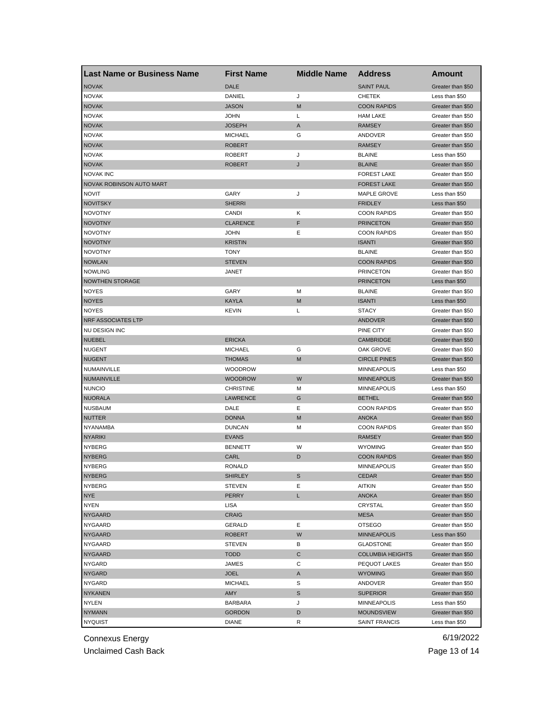| <b>Last Name or Business Name</b> | <b>First Name</b> | <b>Middle Name</b> | <b>Address</b>          | Amount            |
|-----------------------------------|-------------------|--------------------|-------------------------|-------------------|
| <b>NOVAK</b>                      | <b>DALE</b>       |                    | <b>SAINT PAUL</b>       | Greater than \$50 |
| <b>NOVAK</b>                      | DANIEL            | J                  | <b>CHETEK</b>           | Less than \$50    |
| <b>NOVAK</b>                      | <b>JASON</b>      | M                  | <b>COON RAPIDS</b>      | Greater than \$50 |
| <b>NOVAK</b>                      | <b>JOHN</b>       | Г                  | <b>HAM LAKE</b>         | Greater than \$50 |
| <b>NOVAK</b>                      | <b>JOSEPH</b>     | A                  | <b>RAMSEY</b>           | Greater than \$50 |
| <b>NOVAK</b>                      | <b>MICHAEL</b>    | G                  | ANDOVER                 | Greater than \$50 |
| <b>NOVAK</b>                      | <b>ROBERT</b>     |                    | <b>RAMSEY</b>           | Greater than \$50 |
| <b>NOVAK</b>                      | <b>ROBERT</b>     | J                  | <b>BLAINE</b>           | Less than \$50    |
| <b>NOVAK</b>                      | <b>ROBERT</b>     | J                  | <b>BLAINE</b>           | Greater than \$50 |
| <b>NOVAK INC</b>                  |                   |                    | <b>FOREST LAKE</b>      | Greater than \$50 |
| NOVAK ROBINSON AUTO MART          |                   |                    | <b>FOREST LAKE</b>      | Greater than \$50 |
| <b>NOVIT</b>                      | GARY              | J                  | MAPLE GROVE             | Less than \$50    |
| NOVITSKY                          | <b>SHERRI</b>     |                    | <b>FRIDLEY</b>          | Less than \$50    |
| <b>NOVOTNY</b>                    | CANDI             | Κ                  | <b>COON RAPIDS</b>      | Greater than \$50 |
| NOVOTNY                           | <b>CLARENCE</b>   | F                  | <b>PRINCETON</b>        | Greater than \$50 |
| <b>NOVOTNY</b>                    | <b>JOHN</b>       | Ε                  | <b>COON RAPIDS</b>      | Greater than \$50 |
| <b>NOVOTNY</b>                    | <b>KRISTIN</b>    |                    | <b>ISANTI</b>           | Greater than \$50 |
| <b>NOVOTNY</b>                    | <b>TONY</b>       |                    | <b>BLAINE</b>           | Greater than \$50 |
| <b>NOWLAN</b>                     | <b>STEVEN</b>     |                    | <b>COON RAPIDS</b>      | Greater than \$50 |
| <b>NOWLING</b>                    | JANET             |                    | <b>PRINCETON</b>        | Greater than \$50 |
| <b>NOWTHEN STORAGE</b>            |                   |                    | <b>PRINCETON</b>        | Less than \$50    |
| <b>NOYES</b>                      | GARY              | M                  | <b>BLAINE</b>           | Greater than \$50 |
| <b>NOYES</b>                      | <b>KAYLA</b>      | M                  | <b>ISANTI</b>           | Less than \$50    |
| <b>NOYES</b>                      | <b>KEVIN</b>      | L                  |                         |                   |
| <b>NRF ASSOCIATES LTP</b>         |                   |                    | <b>STACY</b><br>ANDOVER | Greater than \$50 |
| NU DESIGN INC                     |                   |                    | PINE CITY               | Greater than \$50 |
|                                   |                   |                    |                         | Greater than \$50 |
| <b>NUEBEL</b>                     | <b>ERICKA</b>     |                    | <b>CAMBRIDGE</b>        | Greater than \$50 |
| <b>NUGENT</b>                     | <b>MICHAEL</b>    | G                  | OAK GROVE               | Greater than \$50 |
| <b>NUGENT</b>                     | <b>THOMAS</b>     | M                  | <b>CIRCLE PINES</b>     | Greater than \$50 |
| NUMAINVILLE                       | <b>WOODROW</b>    |                    | <b>MINNEAPOLIS</b>      | Less than \$50    |
| NUMAINVILLE                       | <b>WOODROW</b>    | W                  | <b>MINNEAPOLIS</b>      | Greater than \$50 |
| <b>NUNCIO</b>                     | <b>CHRISTINE</b>  | M                  | <b>MINNEAPOLIS</b>      | Less than \$50    |
| <b>NUORALA</b>                    | <b>LAWRENCE</b>   | G                  | <b>BETHEL</b>           | Greater than \$50 |
| <b>NUSBAUM</b>                    | DALE              | Ε                  | <b>COON RAPIDS</b>      | Greater than \$50 |
| <b>NUTTER</b>                     | <b>DONNA</b>      | M                  | <b>ANOKA</b>            | Greater than \$50 |
| <b>NYANAMBA</b>                   | <b>DUNCAN</b>     | М                  | <b>COON RAPIDS</b>      | Greater than \$50 |
| <b>NYARIKI</b>                    | <b>EVANS</b>      |                    | <b>RAMSEY</b>           | Greater than \$50 |
| <b>NYBERG</b>                     | <b>BENNETT</b>    | W                  | <b>WYOMING</b>          | Greater than \$50 |
| <b>NYBERG</b>                     | CARL              | D                  | <b>COON RAPIDS</b>      | Greater than \$50 |
| <b>NYBERG</b>                     | <b>RONALD</b>     |                    | <b>MINNEAPOLIS</b>      | Greater than \$50 |
| <b>NYBERG</b>                     | <b>SHIRLEY</b>    | S                  | CEDAR                   | Greater than \$50 |
| <b>NYBERG</b>                     | STEVEN            | Ε                  | <b>AITKIN</b>           | Greater than \$50 |
| <b>NYE</b>                        | <b>PERRY</b>      | L                  | <b>ANOKA</b>            | Greater than \$50 |
| <b>NYEN</b>                       | LISA              |                    | CRYSTAL                 | Greater than \$50 |
| <b>NYGAARD</b>                    | <b>CRAIG</b>      |                    | <b>MESA</b>             | Greater than \$50 |
| NYGAARD                           | GERALD            | Е                  | <b>OTSEGO</b>           | Greater than \$50 |
| <b>NYGAARD</b>                    | <b>ROBERT</b>     | W                  | <b>MINNEAPOLIS</b>      | Less than \$50    |
| <b>NYGAARD</b>                    | <b>STEVEN</b>     | В                  | <b>GLADSTONE</b>        | Greater than \$50 |
| <b>NYGAARD</b>                    | <b>TODD</b>       | С                  | <b>COLUMBIA HEIGHTS</b> | Greater than \$50 |
| NYGARD                            | JAMES             | С                  | PEQUOT LAKES            | Greater than \$50 |
| <b>NYGARD</b>                     | <b>JOEL</b>       | A                  | <b>WYOMING</b>          | Greater than \$50 |
| <b>NYGARD</b>                     | <b>MICHAEL</b>    | S                  | ANDOVER                 | Greater than \$50 |
| <b>NYKANEN</b>                    | AMY               | $\mathbb S$        | <b>SUPERIOR</b>         | Greater than \$50 |
| NYLEN                             | <b>BARBARA</b>    | J                  | MINNEAPOLIS             | Less than \$50    |
| <b>NYMANN</b>                     | <b>GORDON</b>     | D                  | <b>MOUNDSVIEW</b>       | Greater than \$50 |
| <b>NYQUIST</b>                    | <b>DIANE</b>      | R                  | SAINT FRANCIS           | Less than \$50    |
|                                   |                   |                    |                         |                   |

Unclaimed Cash Back **Page 13 of 14**